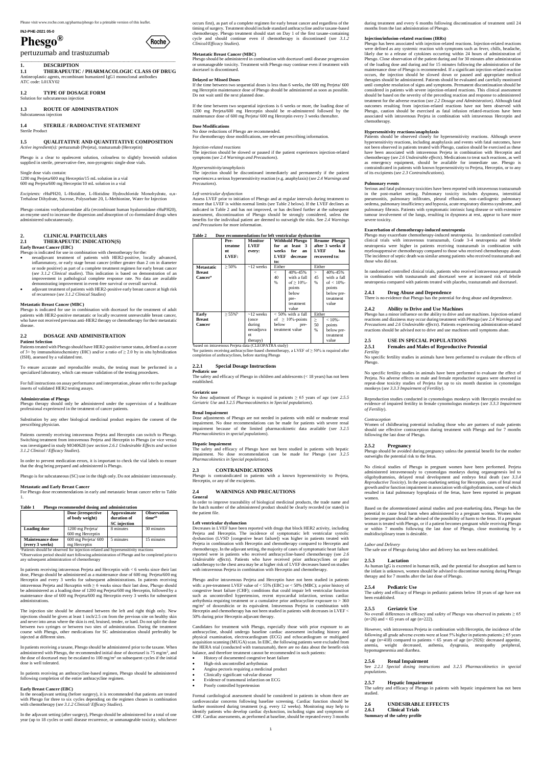# **INJ-PHE-2021 05-0 Phesgo®**

# (Roche)

pertuzumab and trastuzumab

\_\_\_\_\_\_\_\_\_\_\_\_\_\_\_\_\_\_\_\_\_\_\_\_\_\_\_\_\_\_\_\_\_\_\_\_\_\_\_\_\_\_\_\_\_\_\_\_\_\_\_\_\_\_\_\_\_\_\_\_\_\_\_\_\_\_\_\_\_

### **1. DESCRIPTION**

#### **1.4 STERILE / RADIOACTIVE STATEMENT**  Sterile Produc

**1.1 THERAPEUTIC / PHARMACOLOGIC CLASS OF DRUG** Antineoplastic agents, recombinant humanized IgG1 monoclonal antibodies ATC code: L01XY02

#### **1.2 TYPE OF DOSAGE FORM**

Solution for subcutaneous injection

#### **1.3 ROUTE OF ADMINISTRATION**  Subcutaneous injection

#### **1.5 QUALITATIVE AND QUANTITATIVE COMPOSITION** *Active ingredient(s):* pertuzumab (Perjeta), trastuzumab (Herceptin)

Phesgo is a clear to opalescent solution, colourless to slightly brownish solution supplied in sterile, preservative-free, non-pyrogenic single-dose vials.

#### Single dose vials contain:

1200 mg Perjeta/600 mg Herceptin/15 mL solution in a vial 600 mg Perjeta/600 mg Herceptin/10 mL solution in a vial

*Excipients:* rHuPH20, L-Histidine, L-Histidine Hydrochloride Monohydrate, α,α-Trehalose Dihydrate, Sucrose, Polysorbate 20, L-Methionine, Water for Injection

Phesgo contains vorhyaluronidase alfa (recombinant human hyaluronidase rHuPH20), an enzyme used to increase the dispersion and absorption of co-formulated drugs when administered subcutaneously.

#### **2. CLINICAL PARTICULARS**

#### **2.1 THERAPEUTIC INDICATION(S)**

#### **Early Breast Cancer (EBC)**

- Phesgo is indicated for use in combination with chemotherapy for the: neoadjuvant treatment of patients with HER2-positive, locally advanced, inflammatory, or early stage breast cancer (either greater than 2 cm in diameter or node positive) as part of a complete treatment regimen for early breast cancer (*see 3.1.2 Clinical studies*). This indication is based on demonstration of an
- improvement in pathological complete response rate. No data are available demonstrating improvement in event-free survival or overall survival. adjuvant treatment of patients with HER2-positive early breast cancer at high risk of recurrence (*see 3.1.2 Clinical Studies*)

#### **Metastatic Breast Cancer (MBC)**

atients should be observed for injection-related and hypersensitivity reactions <sup>b</sup>Observation period should start following administration of Phesgo and be completed prior to any subsequent administration of chemotherapy

Phesgo is indicated for use in combination with docetaxel for the treatment of adult patients with HER2-positive metastatic or locally recurrent unresectable breast cancer, who have not received previous anti-HER2 therapy or chemotherapy for their metastatic disease.

#### **2.2 DOSAGE AND ADMINISTRATION**

#### **Patient Selection**

Patients treated with Phesgo should have HER2-positive tumor status, defined as a score of 3+ by immunohistochemistry (IHC) and/or a ratio of  $\geq$  2.0 by in situ hybridization (ISH), assessed by a validated test.

To ensure accurate and reproducible results, the testing must be performed in a specialized laboratory, which can ensure validation of the testing procedures.

For full instructions on assay performance and interpretation, please refer to the package inserts of validated HER2 testing assays.

#### **Administration of Phesgo**

Phesgo therapy should only be administered under the supervision of a healthcare professional experienced in the treatment of cancer patients.

Substitution by any other biological medicinal product requires the consent of the prescribing physician.

Patients currently receiving intravenous Perjeta and Herceptin can switch to Phesgo. Switching treatment from intravenous Perjeta and Herceptin to Phesgo (or vice versa) was investigated in study MO40628 (*see section 2.6.1 Undesirable Effects and section 3.1.2 Clinical / Efficacy Studies*).

In order to prevent medication errors, it is important to check the vial labels to ensure that the drug being prepared and administered is Phesgo.

Phesgo is for subcutaneous (SC) use in the thigh only. Do not administer intravenously.

#### **Metastatic and Early Breast Cancer**

For Phesgo dose recommendations in early and metastatic breast cancer refer to Table 1.

#### **Table 1 Phesgo recommended dosing and administration**

| Dose (irrespective<br>of body weight) | Approximate<br>duration of<br><b>SC</b> injection | <b>Observation</b><br>timeab                                                                                   |
|---------------------------------------|---------------------------------------------------|----------------------------------------------------------------------------------------------------------------|
| 1200 mg Perjeta/                      | 8 minutes                                         | 30 minutes                                                                                                     |
|                                       |                                                   |                                                                                                                |
| $600$ mg Perjeta $/$ 600              | 5 minutes                                         | 15 minutes                                                                                                     |
| mg Herceptin                          |                                                   |                                                                                                                |
|                                       | 600 mg Herceptin                                  | and a contract the contract of the contract of the contract of the contract of the contract of the contract of |

In patients receiving intravenous Perjeta and Herceptin with < 6 weeks since their last dose, Phesgo should be administered as a maintenance dose of 600 mg Perjeta/600 mg Herceptin and every 3 weeks for subsequent administrations. In patients receiving intravenous Perjeta and Herceptin with  $\geq 6$  weeks since their last dose, Phesgo should be administered as a loading dose of 1200 mg Perjeta/600 mg Herceptin, followed by a maintenance dose of 600 mg Perjeta/600 mg Herceptin every 3 weeks for subsequent administrations.

The injection site should be alternated between the left and right thigh only. New injections should be given at least 1 inch/2.5 cm from the previous site on healthy skin and never into areas where the skin is red, bruised, tender, or hard. Do not split the dose between two syringes or between two sites of administration. During the treatment course with Phesgo, other medications for SC administration should preferably be injected at different sites.

Decreases in LVEF have been reported with drugs that block HER2 activity, including Perjeta and Herceptin. The incidence of symptomatic left ventricular systolic dysfunction (LVSD [congestive heart failure]) was higher in patients treated with Perjeta in combination with Herceptin and chemotherapy compared to Herceptin and chemotherapy. In the adjuvant setting, the majority of cases of symptomatic heart failure reported were in patients who received anthracycline-based chemotherapy (see *2.6 Undesirable effects*). Patients who have received prior anthracyclines or prior radiotherapy to the chest area may be at higher risk of LVEF decreases based on studies with intravenous Perjeta in combination with Herceptin and chemotherapy.

In patients receiving a taxane, Phesgo should be administered prior to the taxane. When administered with Phesgo, the recommended initial dose of docetaxel is  $75 \text{ mg/m}^2$ , and the dose of docetaxel may be escalated to 100 mg/m<sup>2</sup> on subsequent cycles if the initial dose is well tolerated.

In patients receiving an anthracycline-based regimen, Phesgo should be administered following completion of the entire anthracycline regimen.

#### **Early Breast Cancer (EBC)**

In the neoadjuvant setting (before surgery), it is recommended that patients are treated with Phesgo for three to six cycles depending on the regimen chosen in combination with chemotherapy (*see 3.1.2 Clinical/ Efficacy Studies*).

In the adjuvant setting (after surgery), Phesgo should be administered for a total of one year (up to 18 cycles or until disease recurrence, or unmanageable toxicity, whichever occurs first), as part of a complete regimen for early breast cancer and regardless of the timing of surgery. Treatment should include standard anthracycline and/or taxane-based chemotherapy. Phesgo treatment should start on Day 1 of the first taxane-containing cycle and should continue even if chemotherapy is discontinued (*see 3.1.2 Clinical/Efficacy Studies*).

#### **Metastatic Breast Cancer (MBC)**

Phesgo should be administered in combination with docetaxel until disease progression or unmanageable toxicity. Treatment with Phesgo may continue even if treatment with docetaxel is discontinued.

#### **Delayed or Missed Doses**

If the time between two sequential doses is less than 6 weeks, the 600 mg Perjeta/ 600 mg Herceptin maintenance dose of Phesgo should be administered as soon as possible. Do not wait until the next planned dose.

If the time between two sequential injections is 6 weeks or more, the loading dose of 1200 mg Perjeta/600 mg Herceptin should be re-adminstered followed by the maintenance dose of 600 mg Perjeta/ 600 mg Herceptin every 3 weeks thereafter.

**Dose Modifications** No dose reductions of Phesgo are recommended. For chemotherapy dose modifications, see relevant prescribing information.

#### *Injection-related reactions*

The injection should be slowed or paused if the patient experiences injection-related symptoms (*see 2.4 Warnings and Precautions*).

#### *Hypersensitivity/anaphylaxis*

The injection should be discontinued immediately and permanently if the patient experiences a serious hypersensitivity reaction (e.g. anaphylaxis) (*see 2.4 Warnings and Precautions*).

#### *Left ventricular dysfunction*

Assess LVEF prior to initiation of Phesgo and at regular intervals during treatment to ensure that LVEF is within normal limits (see Table 2 below). If the LVEF declines as indicated in Table 2 and has not improved, or has declined further at the subsequent assessment, discontinuation of Phesgo should be strongly considered, unless the benefits for the individual patient are deemed to outweigh the risks. See *2.4 Warnings and Precautions* for more information.

#### **Table 2 Dose recommendations for left ventricular dysfunction**

|                                                           | Pre-<br>treatme<br>nt<br>LVEF: | <b>Monitor</b><br><b>LVEF</b><br>every:                           | weeks<br><b>LVEF</b><br>to:              | <b>Withhold Phesgo</b><br>for at least 3<br>for<br>an<br>decrease                        | <b>LVEF</b>                             | <b>Resume Phesgo</b><br>after 3 weeks if<br>has<br>recovered to:                     |
|-----------------------------------------------------------|--------------------------------|-------------------------------------------------------------------|------------------------------------------|------------------------------------------------------------------------------------------|-----------------------------------------|--------------------------------------------------------------------------------------|
| <b>Metastatic</b><br><b>Breast</b><br>Cancer <sup>a</sup> | $> 50\%$                       | $\sim$ 12 weeks                                                   | Either<br>$\,<\,$<br>40<br>$\frac{0}{6}$ | 40%-45%<br>with a fall<br>of $> 10\%$ -<br>points<br>below<br>pre-<br>treatment<br>value | Either<br>$\geq$<br>45<br>%             | 40%-45%<br>with a fall<br>of $< 10%$ -<br>points<br>below pre-<br>treatment<br>value |
| Early<br><b>Breast</b><br><b>Cancer</b>                   | $> 55\%$ <sup>b</sup>          | $\sim$ 12 weeks<br>(once<br>during<br>neoadjuva<br>nt<br>therapy) | below                                    | $< 50\%$ with a fall<br>of $\geq 10\%$ -points<br>pre-<br>treatment value                | Either<br>$\geq$<br>50<br>$\frac{9}{6}$ | $< 10% -$<br>points<br>below pre-<br>treatment<br>value                              |

<sup>a</sup>based on intravenous Perjeta data (CLEOPATRA study)

 $b$  for patients receiving anthracycline-based chemotherapy, a LVEF of  $\geq$  50% is required after completion of anthracyclines, before starting Phesgo

#### **2.2.1 Special Dosage Instructions Pediatric use**

The safety and efficacy of Phesgo in children and adolescents (< 18 years) has not been established.

#### **Geriatric use**

No dose adjustment of Phesgo is required in patients ≥ 65 years of age (*see 2.5.5 Geriatric Use* and *3.2.5 Pharmacokinetics in Special populations*).

#### **Renal Impairment**

Dose adjustments of Phesgo are not needed in patients with mild or moderate renal impairment. No dose recommendations can be made for patients with severe renal impairment because of the limited pharmacokinetic data available (*see 3.2.5 Pharmacokinetics in special populations*).

#### **Hepatic Impairment**

The safety and efficacy of Phesgo have not been studied in patients with hepatic impairment. No dose recommendation can be made for Phesgo (*see 3.2.5 Pharmacokinetics in Special populations*).

#### **2.3 CONTRAINDICATIONS**

Phesgo is contraindicated in patients with a known hypersensitivity to Perjeta, Herceptin, or any of the excipients.

#### **2.4 WARNINGS AND PRECAUTIONS General**

In order to improve traceability of biological medicinal products, the trade name and the batch number of the administered product should be clearly recorded (or stated) in the patient file.

#### **Left ventricular dysfunction**

Phesgo and/or intravenous Perjeta and Herceptin have not been studied in patients with: a pre-treatment LVEF value of  $< 55\%$  (EBC) or  $< 50\%$  (MBC); a prior history of congestive heart failure (CHF); conditions that could impair left ventricular function such as uncontrolled hypertension, recent myocardial infarction, serious cardiac arrhythmia requiring treatment or a cumulative prior anthracycline exposure to > 360 mg/m<sup>2</sup> of doxorubicin or its equivalent. Intravenous Perjeta in combination with Herceptin and chemotherapy has not been studied in patients with decreases in  $\mathrm{LVEF} <$ 50% during prior Herceptin adjuvant therapy.

Candidates for treatment with Phesgo, especially those with prior exposure to an anthracycline, should undergo baseline cardiac assessment including history and physical examination, electrocardiogram (ECG) and echocardiogram or multigated acquisition scanning (MUGA) scan. In EBC, the following patients were excluded from the HERA trial (conducted with trastuzumab), there are no data about the benefit-risk balance, and therefore treatment cannot be recommended in such patients:

- History of documented congestive heart failure
- High-risk uncontrolled arrhythmias
- Angina pectoris requiring a medicinal product
- Clinically significant valvular disease
- Evidence of transmural infarction on ECG
- Poorly controlled hypertension

Formal cardiological assessment should be considered in patients in whom there are cardiovascular concerns following baseline screening. Cardiac function should be further monitored during treatment (e.g. every 12 weeks). Monitoring may help to identify patients who develop cardiac dysfunction, including signs and symptoms of CHF. Cardiac assessments, as performed at baseline, should be repeated every 3 months

during treatment and every 6 months following discontinuation of treatment until 24 months from the last administration of Phesgo.

#### **Injection/infusion-related reactions (IRRs)**

Phesgo has been associated with injection-related reactions. Injection-related reactions were defined as any systemic reaction with symptoms such as fever, chills, headache, likely due to a release of cytokines occurring within 24 hours of administration of Phesgo. Close observation of the patient during and for 30 minutes after administration of the loading dose and during and for 15 minutes following the administration of the maintenance dose of Phesgo is recommended. If a significant injection-related reaction occurs, the injection should be slowed down or paused and appropriate medical therapies should be administered. Patients should be evaluated and carefully monitored until complete resolution of signs and symptoms. Permanent discontinuation should be considered in patients with severe injection-related reactions. This clinical assessment should be based on the severity of the preceding reaction and response to administered treatment for the adverse reaction (*see 2.2 Dosage and Administration*). Although fatal outcomes resulting from injection-related reactions have not been observed with Phesgo, caution should be exercised as fatal infusion related-reactions have been associated with intravenous Perjeta in combination with intravenous Herceptin and chemotherapy.

#### **Hypersensitivity reactions/anaphylaxis**

Patients should be observed closely for hypersensitivity reactions. Although severe hypersensitivity reactions, including anaphylaxis and events with fatal outcomes, have not been observed in patients treated with Phesgo, caution should be exercised as these have been associated with intravenous Perjeta in combination with Herceptin and chemotherapy (*see 2.6 Undesirable effects*). Medications to treat such reactions, as well as emergency equipment, should be available for immediate use. Phesgo is contraindicated in patients with known hypersensitivity to Perjeta, Herceptin, or to any of its excipients (*see 2.3 Contraindications*).

#### **Pulmonary events**

Serious and fatal pulmonary toxicities have been reported with intravenous trastuzumab in the post-market setting. Pulmonary toxicity includes dyspnoea, interstitial pneumonitis, pulmonary infiltrates, pleural effusions, non-cardiogenic pulmonary oedema, pulmonary insufficiency and hypoxia, acute respiratory distress syndrome, and pulmonary fibrosis. Patients with symptomatic intrinsic lung disease or with extensive tumour involvement of the lungs, resulting in dyspnoea at rest, appear to have more severe toxicity.

#### **Exacerbation of chemotherapy-induced neutropenia**

Phesgo may exacerbate chemotherapy-induced neutropenia. In randomised controlled clinical trials with intravenous trastuzumab, Grade 3-4 neutropenia and febrile neutropenia were higher in patients receiving trastuzumab in combination with myelosuppressive chemotherapy compared to those who received chemotherapy alone. The incidence of septic death was similar among patients who received trastuzumab and those who did not.

In randomised controlled clinical trials, patients who received intravenous pertuzumab in combination with trastuzumab and docetaxel were at increased risk of febrile neutropenia compared with patients treated with placebo, trastuzumab and docetaxel.

#### **2.4.1 Drug Abuse and Dependence**

There is no evidence that Phesgo has the potential for drug abuse and dependence.

#### **2.4.2 Ability to Drive and Use Machines**

Phesgo has a minor influence on the ability to drive and use machines. Injection-related reactions and dizziness may occur during treatment with Phesgo (*see 2.4 Warnings and Precautions* and *2.6 Undesirable effects*). Patients experiencing administration-related reactions should be advised not to drive and use machines until symptoms abate.

#### **2.5 USE IN SPECIAL POPULATIONS**

#### **2.5.1 Females and Males of Reproductive Potential**

*Fertility* No specific fertility studies in animals have been performed to evaluate the effects of

Phesgo.

No specific fertility studies in animals have been performed to evaluate the effect of Perjeta. No adverse effects on male and female reproductive organs were observed in repeat-dose toxicity studies of Perjeta for up to six month duration in cynomolgus monkeys (*see 3.3.3 Impairment of Fertility*).

Reproduction studies conducted in cynomologus monkeys with Herceptin revealed no evidence of impaired fertility in female cynomologus monkeys (*see 3.3.3 Impairment of Fertility*).

#### *Contraception*

Women of childbearing potential including those who are partners of male patients should use effective contraception during treatment with Phesgo and for 7 months following the last dose of Phesgo.

#### **2.5.2 Pregnancy**

Phesgo should be avoided during pregnancy unless the potential benefit for the mother outweighs the potential risk to the fetus.

No clinical studies of Phesgo in pregnant women have been performed. Perjeta administered intraveneously to cynomolgus monkeys during organogenesis led to oligohydramnios, delayed renal development and embryo fetal death (*see 3.3.4 Reproductive Toxicity*). In the post-marketing setting for Herceptin, cases of fetal renal growth and/or function impairment in association with oligohydramnios, some of which resulted in fatal pulmonary hypoplasia of the fetus, have been reported in pregnant women.

Based on the aforementioned animal studies and post-marketing data, Phesgo has the potential to cause fetal harm when administered to a pregnant woman. Women who become pregnant should be advised of the possibility of harm to the fetus. If a pregnant woman is treated with Phesgo, or if a patient becomes pregnant while receiving Phesgo or within 7 months following the last dose of Phesgo, close monitoring by a multidisciplinary team is desirable.

#### *Labor and Delivery*  The safe use of Phesgo during labor and delivery has not been established.

**2.5.3 Lactation** 

As human IgG is excreted in human milk, and the potential for absorption and harm to the infant is unknown, women should be advised to discontinue nursing during Phesgo

therapy and for 7 months after the last dose of Phesgo.

#### **2.5.4 Pediatric Use**

The safety and efficacy of Phesgo in pediatric patients below 18 years of age have not been established.

#### **2.5.5 Geriatric Use**

No overall differences in efficacy and safety of Phesgo was observed in patients  $\geq 65$  $(n=26)$  and < 65 years of age  $(n=222)$ .

However, with intravenous Perjeta in combination with Herceptin, the incidence of the following all grade adverse events were at least 5% higher in patients patients ≥ 65 years of age (n=418) compared to patients < 65 years of age (n=2926): decreased appetite, anemia, weight decreased, asthenia, dysgeusia, neuropathy peripheral, hypomagnesemia and diarrhea.

#### **2.5.6 Renal Impairment**

See *2.2.1 Special dosing instructions* and *3.2.5 Pharmacokinetics in special populations*.

#### **2.5.7 Hepatic Impairment**

The safety and efficacy of Phesgo in patients with hepatic impairment has not been studied.

**2.6 UNDESIRABLE EFFECTS** 

**2.6.1 Clinical Trials** 

**Summary of the safety profile**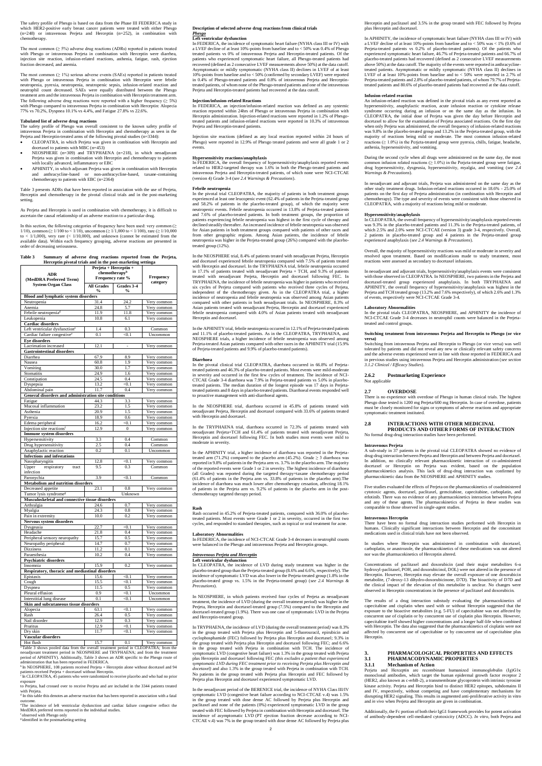The safety profile of Phesgo is based on data from the Phase III FEDERICA study in which HER2-positive early breast cancer patients were treated with either Phesgo (n=248) or intravenous Perjeta and Herceptin (n=252), in combination with chemotherapy.

The most common ( $\geq$  5%) adverse drug reactions (ADRs) reported in patients treated with Phesgo or intravenous Perjeta in combination with Herceptin were diarrhea, injection site reaction, infusion-related reactions, asthenia, fatigue, rash, ejection fraction decreased, and anemia.

The most common  $(≥ 1%)$  serious adverse events (SAEs) reported in patients treated with Phesgo or intravenous Perjeta in combination with Herceptin were febrile neutropenia, pyrexia, neutropenia, neutropenic sepsis, infusion-related reaction and neutrophil count decreased. SAEs were equally distributed between the Phesgo treatment arm and the intravenous Perjeta in combination with Herceptin treatment arm. The following adverse drug reactions were reported with a higher frequency ( $\geq 5\%$ ) with Phesgo compared to intravenous Perjeta in combination with Herceptin: Alopecia 77% vs 70.2%, Dyspnea 10.1% vs 4.4%, and Fatigue 27.8% vs 22.6%.

#### **Tabulated list of adverse drug reactions**

In this section, the following categories of frequency have been used: very common ( $\geq$  1/100, common ( $\geq$  1/100 to < 1/100), uncommon ( $\geq$  1/1,000 to < 1/100), rare ( $\geq$  1/10,000 to  $< 1/1,000$ , very rare  $(< 1/10,000)$ , and unknown (cannot be estimated from the available data). Within each frequency grouping, adverse reactions are presented in order of decreasing seriousness.

The safety profile of Phesgo was overall consistent to the known safety profile of intravenous Perjeta in combination with Herceptin and chemotherapy as seen in the Perjeta and Herceptin-treated arms of the following pivotal studies (n=3344):

- CLEOPATRA, in which Perjeta was given in combination with Herceptin and docetaxel to patients with MBC (n=453)
- NEOSPHERE (n=309) and TRYPHAENA (n=218), in which neoadjuvant Perjeta was given in combination with Herceptin and chemotherapy to patients with locally advanced, inflammatory or EBC
- APHINITY, in which adjuvant Perjeta was given in combination with Herceptin and anthracycline-based or non-anthracycline-based, taxane-containing chemotherapy to patients with EBC (n=2364)

Table 3 presents ADRs that have been reported in association with the use of Perjeta, Herceptin and chemotherapy in the pivotal clinical trials and in the post-marketing setting.

As Perjeta and Herceptin is used in combination with chemotherapy, it is difficult to ascertain the causal relationship of an adverse reaction to a particular drug.

#### **Table 3 Summary of adverse drug reactions reported from the Perjeta, Herceptin pivotal trials and in the post-marketing settinga**

<sup>b</sup>In NEOSPHERE, 108 patients received Perjeta + Herceptin alone without docetaxel and 94 patients received Perjeta + docetaxel without Herceptin.

<sup>c</sup> In CLEOPATRA, 45 patients who were randomized to receive placebo and who had no prior exposure

to Perjeta, had crossed over to receive Perjeta and are included in the 3344 patients treated with Perjeta.<br><sup>d</sup> In this table this denotes an adverse reaction that has been reported in association with a fatal

In FEDERICA, an injection/infusion-related reaction was defined as any systemic reaction reported within 24hrs of Phesgo or intravenous Perjeta in combination with Herceptin administration. Injection-related reactions were reported in 1.2% of Phesgotreated patients and infusion-related reactions were reported in 10.3% of intravenous Perieta and Herceptin-treated patients.

|                                                            | Perjeta + Herceptin + |                  |                            |
|------------------------------------------------------------|-----------------------|------------------|----------------------------|
| <b>ADR</b>                                                 |                       | chemotherapyb    | Frequency                  |
| (MedDRA Preferred Term)                                    |                       | Frequency rate % | category                   |
| <b>System Organ Class</b>                                  | <b>All Grades</b>     | Grades 3-4       |                            |
|                                                            | $\frac{6}{9}$         | $\frac{6}{9}$    |                            |
| <b>Blood and lymphatic system disorders</b><br>Neutropenia | 31.4                  | 24.2             | Very common                |
| Anemia                                                     | 24.8                  | 5.7              | Very common                |
| Febrile neutropenia <sup>d</sup>                           | 11.9                  | 11.8             | Very common                |
| Leukopenia                                                 | 10.8                  | 6.1              | Very common                |
| Cardiac disorders                                          |                       |                  |                            |
| Left ventricular dysfunction <sup>e</sup>                  | 1.4                   | 0.3              | Common                     |
| Cardiac failure congestive <sup>e</sup>                    | 0.1                   | < 0.1            | Uncommon                   |
| <b>Eve disorders</b>                                       |                       |                  |                            |
| Lacrimation increased                                      | 12.1                  | ä,               | Very common                |
| <b>Gastrointestinal disorders</b>                          |                       |                  |                            |
| Diarrhea                                                   | 67.9                  | 8.9              | Very common                |
| Nausea                                                     | 60.8                  | 1.9              | Very common                |
| Vomiting                                                   | 30.0<br>24.9          | 1.7<br>1.6       | Very common                |
| Stomatitis                                                 | 24.5                  | 0.4              | Very common                |
| Constipation<br>Dyspepsia                                  | 13.2                  | < 0.1            | Very common<br>Very common |
| Abdominal pain                                             | 11.7                  | 0.4              | Very common                |
| General disorders and administration site conditions       |                       |                  |                            |
| Fatigue                                                    | 44.3                  | 3.3              | Very common                |
| Mucosal inflammation                                       | 23.2                  | 1.5              | Very common                |
| Asthenia                                                   | 20.9                  | 1.5              | Very common                |
| Pyrexia                                                    | 18.9                  | 0.6              | Very common                |
| Edema peripheral                                           | 16.2                  | < 0.1            | Very common                |
| Injection site reactions <sup>f</sup>                      | 12.9                  | $\boldsymbol{0}$ | Very common                |
| <b>Immune system disorders</b>                             |                       |                  |                            |
| Hypersensitivity                                           | 3.3                   | 0.4              | Common                     |
| Drug hypersensitivity                                      | 2.5                   | 0.4              | Common                     |
| Anaphylactic reaction                                      | 0.2                   | 0.1              | Uncommon                   |
| <b>Infections and infestations</b><br>Nasopharyngitis      | 12.8                  | $<$ 0.1          | Very common                |
| Upper<br>respiratory<br>tract                              | 9.5                   | 0.3              | Common                     |
| infection                                                  |                       |                  |                            |
| Paronychia                                                 | 3.9                   | < 0.1            | Common                     |
| <b>Metabolism and nutrition disorders</b>                  |                       |                  |                            |
| Decreased appetite                                         | 23.1                  | 0.8              | Very common                |
| Tumor lysis syndrome <sup>g</sup>                          |                       | Unknown          |                            |
| Musculoskeletal and connective tissue disorders            |                       |                  |                            |
| Arthralgia                                                 | 24.6                  | 0.7              | Very common                |
| Myalgia                                                    | 24.3                  | 0.8              | Very common                |
| Pain in extremity                                          | 10.0                  | 0.2              | Very common                |
| <b>Nervous system disorders</b><br>Dysgeusia               | 22.7                  | < 0.1            | Very common                |
| Headache                                                   | 21.8                  | 0.4              | Very common                |
| Peripheral sensory neuropathy                              | 15.7                  | 0.5              | Very common                |
| Neuropathy peripheral                                      | 14.7                  | 0.7              | Very common                |
| <b>Dizziness</b>                                           | 11.2                  | 0.1              | Very common                |
| Paraesthesia                                               | 10.2                  | 0.4              | Very common                |
| <b>Psychiatric disorders</b>                               |                       |                  |                            |
| Insomnia                                                   | 15.9                  | 0.2              | Very common                |
| Respiratory, thoracic and mediastinal disorders            |                       |                  |                            |
| Epistaxis                                                  | 15.6                  | < 0.1            | Very common                |
| Cough                                                      | 15.5                  | < 0.1            | Very common                |
| Dyspnea                                                    | 11.5                  | 0.5              | Very common                |
| Pleural effusion                                           | 0.9                   | < 0.1            | Uncommon                   |
| Interstitial lung disease                                  | 0.1                   | < 0.1            | Uncommon                   |
| Skin and subcutaneous tissue disorders<br>Alopecia         | 63.1                  | < 0.1            | Very common                |
| Rash                                                       | 26.4                  | 0.5              | Very common                |
| Nail disorder                                              | 12.9                  | 0.3              | Very common                |
| Pruritus                                                   | 12.9                  | < 0.1            | Very common                |
| Dry skin                                                   | 11.7                  | < 0.1            | Very common                |
| Vascular disorders                                         |                       |                  |                            |
| Hot flush                                                  | 15.7                  | 0.1              | Very common                |

Hot flush 15.7 0.1 Very common <sup>a</sup>Table 3 shows pooled data from the overall treatment period in CLEOPATRA; from the neoadjuvant treatment period in NEOSPHERE and TRYPHAENA; and from the treatment period of APHINITY). Additionally, Table 3 shows an ADR specific to the Phesgo route of administration that has been reported in FEDERICA.

outcome.

<sup>e</sup>The incidence of left ventricular dysfunction and cardiac failure congestive reflect the MedDRA preferred terms reported in the individual studies.

fobserved with Phesgo only<br><sup>g</sup>identified in the postmarketing setting

### **Description of selected adverse drug reactions from clinical trials** *Phesgo* **Left ventricular dysfunction**

In CLEOPATRA, the incidence of LVD during study treatment was higher in the placebo-treated group than the Perjeta-treated group (8.6% and 6.6%, respectively). The incidence of symptomatic LVD was also lower in the Perjeta-treated group (1.8% in the placebo-treated group vs. 1.5% in the Perjeta-treated group) (*see 2.4 Warnings &* 

In FEDERICA, the incidence of symptomatic heart failure (NYHA class III or IV) with a LVEF decline of at least 10%-points from baseline and to < 50% was 0.4% of Phesgo treated patients vs 0% of intravenous Perjeta and Herceptin-treated patients. Of the patients who experienced symptomatic heart failure, all Phesgo-treated patients had recovered (defined as 2 consecutive LVEF measurements above 50%) at the data cutoff. Asymptomatic or mildly symptomatic (NYHA class II) declines in LVEF of at least 10%-points from baseline and to < 50% (confirmed by secondary LVEF) were reported in 0.4% of Phesgo-treated patients and 0.8% of intravenous Perjeta and Herceptintreated patients, of whom none of the Phesgo-treated patients and one of the intravenous Perjeta and Herceptin-treated patients had recovered at the data cutoff.

#### **Injection/infusion-related Reactions**

Injection site reactions (defined as any local reaction reported within 24 hours of Phesgo) were reported in 12.9% of Phesgo treated patients and were all grade 1 or 2 events.

#### **Hypersensitivity reactions/anaphylaxis**

In FEDERICA, the overall frequency of hypersensitivity/anaphylaxis reported events related to HER2-targeted therapy was 1.6% in both the Phesgo-treated patients and intravenous Perjeta and Herceptin-treated patients, of which none were NCI-CTCAE (version 4) Grade 3-4 (*see 2.4 Warnings & Precautions*).

#### **Febrile neutropenia**

During the second cycle when all drugs were administered on the same day, the most common infusion related reactions  $(\geq 1.0\%)$  in the Perjeta-treated group were fatigue, drug hypersensitivity, dysgeusia, hypersensitivity, myalgia, and vomiting (*see 2.4 Warnings & Precautions*).

In the pivotal trial CLEOPATRA, the majority of patients in both treatment groups experienced at least one leucopenic event (62.4% of patients in the Perjeta-treated group and 58.2% of patients in the placebo-treated group), of which the majority were neutropenic events. Febrile neutropenia occurred in 13.8% of Perjeta-treated patients and 7.6% of placebo-treated patients. In both treatment groups, the proportion of patients experiencing febrile neutropenia was highest in the first cycle of therapy and declined steadily thereafter. An increased incidence of febrile neutropenia was observed for Asian patients in both treatment groups compared with patients of other races and from other geographic regions. Among Asian patients, the incidence of febrile neutropenia was higher in the Perjeta-treated group (26%) compared with the placebotreated group (12%).

In the NEOSPHERE trial, 8.4% of patients treated with neoadjuvant Perjeta, Herceptin and docetaxel experienced febrile neutropenia compared with 7.5% of patients treated with Herceptin and docetaxel. In the TRYPHAENA trial, febrile neutropenia occurred in 17.1% of patients treated with neoadjuvant Perjeta + TCH, and 9.3% of patients treated with neoadjuvant Perjeta, Herceptin and docetaxel following FEC. In TRYPHAENA, the incidence of febrile neutropenia was higher in patients who received six cycles of Perjeta compared with patients who received three cycles of Perjeta, independent of the chemotherapy given. As in the CLEOPATRA trial, a higher incidence of neutropenia and febrile neutropenia was observed among Asian patients compared with other patients in both neoadjuvant trials. In NEOSPHERE, 8.3% of Asian patients treated with neoadjuvant Perjeta, Herceptin and docetaxel experienced febrile neutropenia compared with 4.0% of Asian patients treated with neoadjuvant Herceptin and docetaxel.

> Five studies evaluated the effects of Perjeta on the pharmacokinetics of coadministered cytotoxic agents, docetaxel, paclitaxel, gemcitabine, capecitabine, carboplatin, and erlotinib. There was no evidence of any pharmacokinetics interaction between Perjeta and any of these agents. The pharmacokinetics of Perjeta in these studies was comparable to those observed in single-agent studies.

In the APHINITY trial, febrile neutropenia occurred in 12.1% of Perjeta-treated patients and 11.1% of placebo-treated patients. As in the CLEOPATRA, TRYPHAENA, and NEOSPHERE trials, a higher incidence of febrile neutropenia was observed among Perjeta-treated Asian patients compared with other races in the APHINITY trial (15.9%) of Perjeta-treated patients and 9.9% of placebo-treated patients).

#### **Diarrhoea**

Concentrations of paclitaxel and doxorubicin (and their major metabolites 6-α hydroxyl-paclitaxel, POH, and doxorubicinol, DOL) were not altered in the presence of Herceptin. However, Herceptin may elevate the overall exposure of one doxorubicin

In the pivotal clinical trial CLEOPATRA, diarrhoea occurred in 66.8% of Perjetatreated patients and 46.3% of placebo-treated patients. Most events were mild-moderate in severity and occurred in the first few cycles of treatment. The incidence of NCI-CTCAE Grade 3-4 diarrhoea was 7.9% in Perjeta-treated patients vs 5.0% in placebotreated patients. The median duration of the longest episode was 17 days in Perjetatreated patients and 8 days in placebo-treated patients. Diarrhoeal events responded well to proactive management with anti-diarrhoeal agents.

In the NEOSPHERE trial, diarrhoea occurred in 45.8% of patients treated with neoadjuvant Perjeta, Herceptin and docetaxel compared with 33.6% of patients treated with Herceptin and docetaxel.

In the TRYPHAENA trial, diarrhoea occurred in 72.3% of patients treated with neoadjuvant Perjeta+TCH and 61.4% of patients treated with neoadjuvant Perjeta, Herceptin and docetaxel following FEC. In both studies most events were mild to moderate in severity.

In the APHINITY trial, a higher incidence of diarrhoea was reported in the Perjetatreated arm (71.2%) compared to the placebo arm (45.2%). Grade  $\geq$  3 diarrhoea was reported in 9.8% of patients in the Perjeta arm vs. 3.7% in the placebo arm. The majority of the reported events were Grade 1 or 2 in severity. The highest incidence of diarrhoea (all Grades) was reported during the targeted therapy+taxane chemotherapy period (61.4% of patients in the Perjeta arm vs. 33.8% of patients in the placebo arm).The incidence of diarrhoea was much lower after chemotherapy cessation, affecting 18.1% of patients in the Perjeta arm vs. 9.2% of patients in the placebo arm in the postchemotherapy targeted therapy period.

#### **Rash**

Rash occurred in 45.2% of Perjeta-treated patients, compared with 36.0% of placebotreated patients. Most events were Grade 1 or 2 in severity, occurred in the first two cycles, and responded to standard therapies, such as topical or oral treatment for acne.

#### **Laboratory Abnormalities**

In FEDERICA, the incidence of NCI-CTCAE Grade 3-4 decreases in neutrophil counts were balanced in the Phesgo and intravenous Perjeta and Herceptin groups.

#### *Intravenous Perjeta and Herceptin* **Left ventricular dysfunction**

*Precautions*).

In NEOSPHERE, in which patients received four cycles of Perjeta as neoadjuvant treatment, the incidence of LVD (during the overall treatment period) was higher in the Perjeta, Herceptin and docetaxel-treated group (7.5%) compared to the Herceptin and docetaxel-treated group (1.9%). There was one case of symptomatic LVD in the Perjeta and Herceptin-treated group.

In TRYPHAENA, the incidence of LVD (during the overall treatment period*)* was 8.3% in the group treated with Perjeta plus Herceptin and 5-fluorouracil, epirubicin and cyclophosphamide (FEC) followed by Perjeta plus Herceptin and docetaxel; 9.3% in the group treated with Perjeta plus Herceptin and docetaxel following FEC; and 6.6% in the group treated with Perjeta in combination with TCH. The incidence of symptomatic LVD (congestive heart failure) was 1.3% in the group treated with Perjeta plus Herceptin and docetaxel following FEC *(this excludes a patient that experienced symptomatic LVD during FEC treatment prior to receiving Perjeta plus Herceptin and docetaxel)* and also 1.3% in the group treated with Perjeta in combination with TCH. No patients in the group treated with Perjeta plus Herceptin and FEC followed by Perjeta plus Herceptin and docetaxel experienced symptomatic LVD.

In the neoadjuvant period of the BERENICE trial, the incidence of NYHA Class III/IV symptomatic LVD (congestive heart failure according to NCI-CTCAE v.4) was 1.5% in the group treated with dose dense AC followed by Perjeta plus Herceptin and paclitaxel and none of the patients (0%) experienced symptomatic LVD in the group treated with FEC followed by Perjeta in combination with Herceptin and docetaxel. The incidence of asymptomatic LVD (PT ejection fraction decrease according to NCI-CTCAE v.4) was 7% in the group treated with dose dense AC followed by Perjeta plus

Herceptin and paclitaxel and 3.5% in the group treated with FEC followed by Perjeta plus Herceptin and docetaxel.

In APHINITY, the incidence of symptomatic heart failure (NYHA class III or IV) with a LVEF decline of at least 10%-points from baseline and to < 50% was < 1% (0.6% of Perjeta-treated patients vs 0.2% of placebo-treated patients). Of the patients who experienced symptomatic heart failure, 46.7% of Perjeta-treated patients and 66.7% of placebo-treated patients had recovered (defined as 2 consecutive LVEF measurements above 50%) at the data cutoff. The majority of the events were reported in anthracyclinetreated patients. Asymptomatic or mildly symptomatic (NYHA class II) declines in LVEF of at least 10%-points from baseline and to < 50% were reported in 2.7% of Perjeta-treated patients and 2.8% of placebo-treated patients, of whom 79.7% of Perjetatreated patients and 80.6% of placebo-treated patients had recovered at the data cutoff.

#### **Infusion-related reaction**

An infusion-related reaction was defined in the pivotal trials as any event reported as hypersensitivity, anaphylactic reaction, acute infusion reaction or cytokine release syndrome occurring during an infusion or on the same day as the infusion. In CLEOPATRA, the initial dose of Perjeta was given the day before Herceptin and docetaxel to allow for the examination of Perjeta associated reactions. On the first day when only Perjeta was administered, the overall frequency of infusion-related reactions was 9.8% in the placebo-treated group and 13.2% in the Perjeta-treated group, with the majority of reactions being mild or moderate. The most common infusion-related reactions (≥ 1.0%) in the Perjeta-treated group were pyrexia, chills, fatigue, headache, asthenia, hypersensitivity, and vomiting.

In neoadjuvant and adjuvant trials, Perjeta was administered on the same day as the other study treatment drugs. Infusion-related reactions occurred in 18.6% - 25.0% of patients on the first day of Perjeta administration (in combination with Herceptin and chemotherapy). The type and severity of events were consistent with those observed in CLEOPATRA, with a majority of reactions being mild or moderate.

#### **Hypersensitivity/anaphylaxis**

In CLEOPATRA, the overall frequency of hypersensitivity/anaphylaxis reported events was 9.3% in the placebo-treated patients and 11.3% in the Perjeta-treated patients, of which 2.5% and 2.0% were NCI-CTCAE (version 3) grade 3-4, respectively. Overall, 2 patients in placebo-treated group and 4 patients in the Perjeta-treated group experienced anaphylaxis (*see 2.4 Warnings & Precautions*).

Overall, the majority of hypersensitivity reactions was mild or moderate in severity and resolved upon treatment. Based on modifications made to study treatment, most reactions were assessed as secondary to docetaxel infusions.

In neoadjuvant and adjuvant trials, hypersensitivity/anaphylaxis events were consistent with those observed in CLEOPATRA. In NEOSPHERE, two patients in the Perjeta and docetaxel-treated group experienced anaphylaxis. In both TRYPHAENA and APHINITY, the overall frequency of hypersensitivity/anaphylaxis was highest in the Perjeta and TCH treated group (13.2% and 7.6% respectively), of which 2.6% and 1.3% of events, respectively were NCI-CTCAE Grade 3-4.

#### **Laboratory Abnormalities**

In the pivotal trials CLEOPATRA, NEOSPHERE, and APHINITY the incidence of NCI-CTCAE Grade 3-4 decreases in neutrophil counts were balanced in the Perjetatreated and control groups.

## **Switching treatment from intravenous Perjeta and Herceptin to Phesgo (or vice**

**versa)**  Switching from intravenous Perjeta and Herceptin to Phesgo (or vice versa) was well tolerated by patients and did not reveal any new or clinically relevant safety concerns and the adverse events experienced were in line with those reported in FEDERICA and in previous studies using intravenous Perjeta and Herceptin administration (*see section 3.1.2 Clinical / Efficacy Studies*).

#### **2.6.2 Postmarketing Experience**

Not applicable

#### **2.7 OVERDOSE**

There is no experience with overdose of Phesgo in human clinical trials. The highest Phesgo dose tested is 1200 mg Perjeta/600 mg Herceptin. In case of overdose, patients must be closely monitored for signs or symptoms of adverse reactions and appropriate symptomatic treatment instituted.

#### **2.8 INTERACTIONS WITH OTHER MEDICINAL PRODUCTS AND OTHER FORMS OF INTERACTION**

No formal drug-drug interaction studies have been performed.

#### **Intravenous Perjeta**

A sub-study in 37 patients in the pivotal trial CLEOPATRA showed no evidence of drug-drug interaction between Perjeta and Herceptin and between Perjeta and docetaxel. In addition, no clinically relevant pharmacokinetic interaction of co-administered docetaxel or Herceptin on Perjeta was evident, based on the population pharmacokinetics analysis. This lack of drug-drug interaction was confirmed by pharmacokinetic data from the NEOSPHERE and APHINITY studies.

#### **Intravenous Herceptin**

There have been no formal drug interaction studies performed with Herceptin in humans. Clinically significant interactions between Herceptin and the concomitant medications used in clinical trials have not been observed.

In studies where Herceptin was administered in combination with docetaxel, carboplatin, or anastrozole, the pharmacokinetics of these medications was not altered nor was the pharmacokinetics of Herceptin altered.

metabolite, (7-deoxy-13 dihydro-doxorubicinone, D7D). The bioactivity of D7D and the clinical impact of the elevation of this metabolite is unclear. No changes were observed in Herceptin concentrations in the presence of paclitaxel and doxorubicin.

The results of a drug interaction substudy evaluating the pharmacokinetics of capecitabine and cisplatin when used with or without Herceptin suggested that the exposure to the bioactive metabolites (e.g. 5-FU) of capecitabine was not affected by concurrent use of cisplatin or by concurrent use of cisplatin plus Herceptin. However, capecitabine itself showed higher concentrations and a longer half-life when combined with Herceptin. The data also suggested that the pharmacokinetics of cisplatin were not affected by concurrent use of capecitabine or by concurrent use of capecitabine plus Herceptin.

#### **3. PHARMACOLOGICAL PROPERTIES AND EFFECTS 3.1 PHARMACODYNAMIC PROPERTIES**

#### **3.1.1 Mechanism of Action**

Perjeta and Herceptin are recombinant humanized immunoglobulin (Ig)G1κ monoclonal antibodies, which target the human epidermal growth factor receptor 2 (HER2, also known as c-erbB-2), a transmembrane glycoprotein with intrinsic tyrosine kinase activity. Perjeta and Herceptin bind to distinct HER2 epitopes, subdomains II and IV, respectively, without competing and have complementary mechanisms for disrupting HER2 signaling. This results in augmented anti-proliferative activity in vitro and *in vivo* when Perjeta and Herceptin are given in combination.

Additionally, the Fc portion of both their IgG1 framework provides for potent activation of antibody-dependent cell-mediated cytotoxicity (ADCC). *In vitro*, both Perjeta and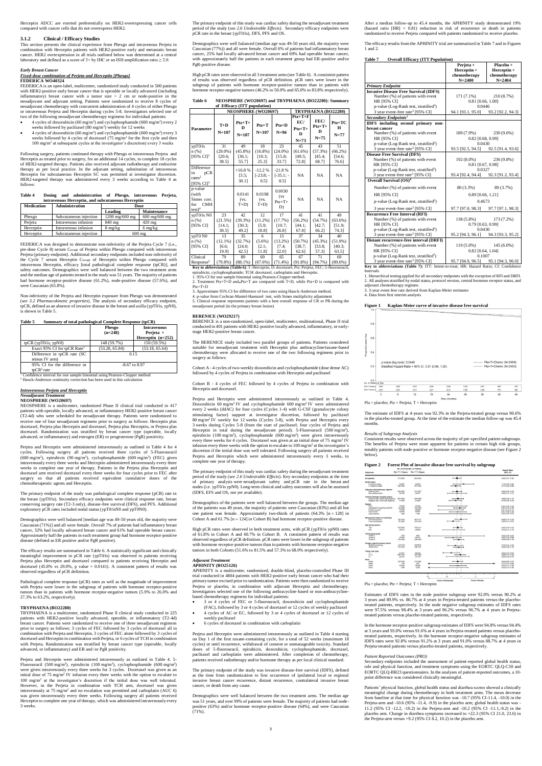Herceptin ADCC are exerted preferentially on HER2-overexpressing cancer cells compared with cancer cells that do not overexpress HER2.

This section presents the clinical experience from Phesgo and intravenous Perjeta in combination with Herceptin patients with HER2-positive early and metastatic breast cancer. HER2 overexpression in all trials outlined below was determined at a central laboratory and defined as a score of  $3+$  by IHC or an ISH amplification ratio  $\geq 2.0$ .

#### **3.1.2 Clinical / Efficacy Studies**

#### *Early Breast Cancer*

#### *Fixed-dose combination of Perjeta and Herceptin [Phesgo]* **FEDERICA WO40324**

- $\bullet$  4 cycles of doxorubicin (60 mg/m<sup>2</sup>) and cyclophosphamide (600 mg/m<sup>2</sup>) every 2 weeks followed by paclitaxel (80 mg/m<sup>2</sup>) weekly for 12 weeks
- $\bullet$  4 cycles of doxorubicin (60 mg/m<sup>2</sup>) and cyclophosphamide (600 mg/m<sup>2</sup>) every 3 weeks followed by 4 cycles of docetaxel (75 mg/m<sup>2</sup> for the first cycle and then 100 mg/m<sup>2</sup> at subsequent cycles at the investigator's discretion) every 3 weeks

FEDERICA is an open-label, multicenter, randomized study conducted in 500 patients with HER2-positive early breast cancer that is operable or locally advanced (including inflammatory) breast cancer with a tumor size > 2 cm or node-positive in the neoadjuvant and adjuvant setting. Patients were randomized to receive 8 cycles of neoadjuvant chemotherapy with concurrent administration of 4 cycles of either Phesgo or intravenous Perjeta and Herceptin during cycles 5-8. Investigators selected one of two of the following neoadjuvant chemotherapy regimens for individual patients:

Following surgery, patients continued therapy with Phesgo or intravenous Perjeta and Herceptin as treated prior to surgery, for an additional 14 cycles, to complete 18 cycles of HER2-targeted therapy. Patients also received adjuvant radiotherapy and endocrine therapy as per local practice. In the adjuvant setting, substitution of intravenous Herceptin for subcutaneous Herceptin SC was permitted at investigator discretion. HER2-targeted therapy was administered every 3 weeks according to Table 4 as follows:

<sup>1</sup> Confidence interval for one sample binomial using Pearson-Clopper method <sup>2</sup> Hauck-Anderson continuity correction has been used in this calculation

| Table 4<br>Dosing and administration of Phesgo, intravenous Perjeta, |  |  |
|----------------------------------------------------------------------|--|--|
|----------------------------------------------------------------------|--|--|

| intravenous Herceptin, and subcutaneous Herceptin |                        |                  |                                 |  |  |  |  |  |
|---------------------------------------------------|------------------------|------------------|---------------------------------|--|--|--|--|--|
| <b>Medication</b>                                 | <b>Administration</b>  | Dose             |                                 |  |  |  |  |  |
|                                                   |                        | Loading          | <b>Maintenance</b>              |  |  |  |  |  |
| Phesgo                                            | Subcutaneous injection | 1200 mg/600 mg   | $600 \text{ mg}/600 \text{ mg}$ |  |  |  |  |  |
| Perjeta                                           | Intravenous infusion   | 840 mg           | $420$ mg                        |  |  |  |  |  |
| Herceptin                                         | Intravenous infusion   | $8$ mg/kg        | $6 \text{ mg/kg}$               |  |  |  |  |  |
| Herceptin                                         | Subcutaneous injection | $600 \text{ mg}$ |                                 |  |  |  |  |  |

FEDERICA was designed to demonstrate non-inferiority of the Perjeta Cycle 7 (i.e., pre-dose Cycle 8) serum C<sub>trough</sub> of Perjeta within Phesgo compared with intravenous Perjeta (primary endpoint). Additional secondary endpoints included non-inferiority of the Cycle 7 serum Herceptin Ctrough of Herceptin within Phesgo compared with intravenous Herceptin, efficacy [total pathological complete response (tpCR)], and safety outcomes. Demographics were well balanced between the two treatment arms and the median age of patients treated in the study was 51 years. The majority of patients had hormone receptor-positive disease (61.2%), node-positive disease (57.6%), and were Caucasian (65.8%).

Non-inferiority of the Perjeta and Herceptin exposure from Phesgo was demonstrated (*see 3.2 Pharmacokinetic properties*). The analysis of secondary efficacy endpoint, tpCR, defined as an absence of invasive disease in the breast and axilla (ypT0/is, ypN0), is shown in Table 5.

**Table 5 Summary of total pathological Complete Response (tpCR)**

|                                         | Phesgo<br>$(n=248)$ | <b>Intravenous</b><br>Perjeta $+$ |
|-----------------------------------------|---------------------|-----------------------------------|
|                                         |                     | Herceptin $(n=252)$               |
| tpCR $(vpT0/is, vpN0)$                  | 148 (59.7%)         | 150 (59.5%)                       |
| Exact 95% CI for tpCR Rate <sup>1</sup> | (53.28, 65.84)      | (53.18, 65.64)                    |
| Difference in tpCR rate (SC)            |                     | 0.15                              |
| minus IV arm)                           |                     |                                   |
| 95% CI for the difference in            |                     | $-8.67$ to 8.97                   |
| $to CR2$ rate                           |                     |                                   |

### *Intraveneous Perjeta and Herceptin Neoadjuvant Treatment* **NEOSPHERE (WO20697)**

NEOSPHERE is a multicenter, randomized Phase II clinical trial conducted in 417 patients with operable, locally advanced, or inflammatory HER2-positive breast cancer (T2-4d) who were scheduled for neoadjuvant therapy. Patients were randomized to receive one of four neoadjuvant regimens prior to surgery as follows: Herceptin plus docetaxel, Perjeta plus Herceptin and docetaxel, Perjeta plus Herceptin, or Perjeta plus docetaxel. Randomization was stratified by breast cancer type (operable, locally

advanced, or inflammatory) and estrogen (ER) or progesterone (PgR) positivity.

Perjeta and Herceptin were administered intravenously as outlined in Table 4 for 4 cycles. Following surgery all patients received three cycles of 5-Fluorouracil (600 mg/m<sup>2</sup>), epirubicin (90 mg/m<sup>2</sup>), cyclophosphamide (600 mg/m<sup>2</sup>) (FEC) given intravenously every three weeks and Herceptin administered intravenously every three weeks to complete one year of therapy. Patients in the Perjeta plus Herceptin and docetaxel arm received docetaxel every three weeks for four cycles prior to FEC after surgery so that all patients received equivalent cumulative doses of the chemotherapeutic agents and Herceptin.

Response<sup>5</sup>  $(79.8\%)$   $(88.1\%)$   $(67.6\%)$   $(71.4\%)$   $(91.8\%)$   $(94.7\%)$   $(89.6\%)$ <br>**Key to abbreviations (Table 6**): T: Herceptin; D: docetaxel; Ptz: Perjeta; FEC: 5-fluorouracil, epirubicin, cyclophosphamide; TCH: docetax 1. 95% CI for one sample binomial using Pearson-Clopper method.

The primary endpoint of the study was pathological complete response (pCR) rate in the breast (ypT0/is). Secondary efficacy endpoints were clinical response rate, breast conserving surgery rate (T2-3 only), disease-free survival (DFS), and PFS. Additional exploratory pCR rates included nodal status (ypT0/isN0 and ypT0N0).

4. p-value from Cochran-Mantel-Haenszel test, with Simes multiplicity adjustment 5. Clinical response represents patients with a best overall response of CR or PR during the neoadjuvant period (in the primary breast lesion)

Demographics were well balanced [median age was 49-50 years old, the majority were Caucasian (71%)] and all were female. Overall 7% of patients had inflammatory breast cancer, 32% had locally advanced breast cancer and 61% had operable breast cancer. Approximately half the patients in each treatment group had hormone receptor-positive disease (defined as ER positive and/or PgR positive).

Perjeta and Herceptin were administered intravenously as outlined in Table 4. Doxorubicin 60 mg/m<sup>2</sup> IV and cyclophosphamide 600 mg/m<sup>2</sup> IV were administered every 2 weeks (ddAC) for four cycles (Cycles 1-4) with G-CSF (granulocyte colony stimulating factor) support at investigator discretion, followed by paclitaxel 80 mg/m<sup>2</sup> IV weekly for 12 weeks (Cycles 5-8), with Perjeta and Herceptin every 3 weeks during Cycles 5-8 (from the start of paclitaxel; four cycles of Perjeta and Herceptin in total during the neoadjuvant period). 5-Fluorouracil (500 mg/m<sup>2</sup>), epirubicin (100 mg/m<sup>2</sup>), cyclophosphamide (600 mg/m<sup>2</sup>) were given intravenously every three weeks for 4 cycles. Docetaxel was given at an initial dose of 75 mg/m<sup>2</sup> IV infusion every three weeks with the option to escalate to  $100 \text{ mg/m}^2$  at the investigator's discretion if the initial dose was well tolerated. Following surgery all patients received Perjeta and Herceptin which were administered intravenously every 3 weeks, to complete one year of therapy.

The efficacy results are summarized in Table 6. A statistically significant and clinically meaningful improvement in pCR rate (ypT0/is) was observed in patients receiving Perjeta plus Herceptin and docetaxel compared to patients receiving Herceptin and docetaxel (45.8% vs 29.0%, p value  $= 0.0141$ ). A consistent pattern of results was observed regardless of pCR definition.

Pathological complete response (pCR) rates as well as the magnitude of improvement with Perjeta were lower in the subgroup of patients with hormone receptor-positive tumors than in patients with hormone receptor-negative tumors (5.9% to 26.0% and 27.3% to 63.2%, respectively).

Demographics of the patients were well balanced between the groups. The median age of the patients was 49 years, the majority of patients were Caucasian (83%) and all but one patient was female. Approximately two-thirds of patients  $(64.3\%$  [n = 128] in Cohort A and  $61.7\%$  [n = 124] in Cohort B) had hormone receptor-positive disease.

#### **TRYPHAENA (BO22280)**

High pCR rates were observed in both treatment arms, with pCR (ypT0/is ypN0) rates of 61.8% in Cohort A and 60.7% in Cohort B. A consistent pattern of results was observed regardless of pCR definition. pCR rates were lower in the subgroup of patients with hormone receptor-positive tumors than in patients with hormone receptor-negative tumors in both Cohorts (51.6% to 81.5% and 57.3% to 68.0% respectively).

TRYPHAENA is a multicenter, randomized Phase ll clinical study conducted in 225 patients with HER2-positive locally advanced, operable, or inflammatory (T2-4d) breast cancer. Patients were randomized to receive one of three neoadjuvant regimens prior to surgery as follows: 3 cycles of FEC followed by 3 cycles of docetaxel all in combination with Perjeta and Herceptin, 3 cycles of FEC alone followed by 3 cycles of docetaxel and Herceptin in combination with Perjeta, or 6 cycles of TCH in combination with Perjeta. Randomization was stratified by breast cancer type (operable, locally advanced, or inflammatory) and ER and /or PgR positivity.

Perjeta and Herceptin were administered intravenously as outlined in Table 4. 5- Fluorouracil (500 mg/m<sup>2</sup>), epirubicin (100 mg/m<sup>2</sup>), cyclophosphamide (600 mg/m<sup>2</sup>) were given intravenously every three weeks for 3 cycles. Docetaxel was given as an initial dose of 75 mg/m<sup>2</sup> IV infusion every three weeks with the option to escalate to 100 mg/m<sup>2</sup> at the investigator's discretion if the initial dose was well tolerated. However, in the Perjeta in combination with TCH arm, docetaxel was given intravenously at  $75 \text{ mg/m}^2$  and no escalation was permitted and carboplatin (AUC 6) was given intravenously every three weeks. Following surgery all patients received Herceptin to complete one year of therapy, which was administered intravenously every 3 weeks.

Demographics were well balanced between the two treatment arms. The median age was 51 years, and over 99% of patients were female. The majority of patients had nodepositive (63%) and/or hormone receptor-positive disease (64%), and were Caucasian  $(71\%)$ 

The primary endpoint of this study was cardiac safety during the neoadjuvant treatment period of the study (*see 2.6 Undesirable Effects*). Secondary efficacy endpoints were pCR rate in the breast (ypT0/is), DFS, PFS and OS.

Demographics were well balanced (median age was 49-50 years old, the majority were Caucasian (77%)) and all were female. Overall 6% of patients had inflammatory breast cancer, 25% had locally advanced breast cancer and 69% had operable breast cancer, with approximately half the patients in each treatment group had ER-positive and/or PgR-positive disease.

High pCR rates were observed in all 3 treatment arms (see Table 6). A consistent pattern of results was observed regardless of pCR definition. pCR rates were lower in the subgroup of patients with hormone receptor-positive tumors than in patients with hormone receptor-negative tumors (46.2% to 50.0% and 65.0% to 83.8% respectively).

| Table 6 | NEOSPHERE (WO20697) and TRYPHAENA (BO22280): Summary |
|---------|------------------------------------------------------|
|         | of Efficacy (ITT population)                         |

|                                                                        |                                     | NEOSPHERE (WO20697)                 |                                       | TRYPHAENA (BO22280)                 |                                             |                                     |                                     |  |
|------------------------------------------------------------------------|-------------------------------------|-------------------------------------|---------------------------------------|-------------------------------------|---------------------------------------------|-------------------------------------|-------------------------------------|--|
| Parameter                                                              | $T+D$<br>$N = 107$                  | $Ptz+T+$<br>D<br>$N = 107$          | $Ptz+T$<br>$N = 107$                  | $Ptz+D$<br>$N=96$                   | $Ptz+T+F$<br>EC/<br>$Ptz+T+$<br>D<br>$N=73$ | FEC/<br>$Ptz+T+$<br>D<br>$N = 75$   | $Ptz+TC$<br>H<br>$N=77$             |  |
| ypT0/is<br>$n$ (%)<br>$[95\% \text{ CI}]$ <sup>1</sup>                 | 31<br>$(29.0\%)$<br>120.6:<br>38.51 | 49<br>$(45.8\%)$<br>136.1:<br>55.71 | 18<br>$(16.8\%)$<br>10.3:<br>$25.3$ ] | 23<br>$(24.0\%)$<br>[15.8]<br>33.71 | 45<br>$(61.6\%)$<br>[49.5:<br>72.81         | 43<br>(57.3%)<br>[45.4]<br>68.7]    | 51<br>$(66.2\%)$<br>[54.6;<br>76.61 |  |
| Difference<br>pCR<br>in<br>rates <sup>2</sup><br>$[95\% \text{ CI}]^3$ |                                     | $+16.8%$<br>[3.5]<br>30.11          | $-12.2%$<br>$[-23.8:-$<br>0.51        | $-21.8%$<br>$[-35.1; -]$<br>8.5]    | <b>NA</b>                                   | NA                                  | NA                                  |  |
| p-value<br>(with<br>Simes corr.<br><b>CMH</b><br>for<br>$test)^4$      |                                     | 0.0141<br>(vs.<br>$T+D$             | 0.0198<br>(vs.<br>$T+D$               | 0.0030<br>(vs)<br>$Ptz+T+$<br>D)    | <b>NA</b>                                   | NA                                  | NA                                  |  |
| ypT0/is N0<br>n(%)                                                     | 23<br>(21.5%)                       | 42<br>$(39.3\%)$                    | 12<br>$(11.2\%)$                      | 17<br>$(17.7\%)$                    | 41<br>$(56.2\%)$                            | 41<br>$(54.7\%)$                    | 49<br>$(63.6\%)$                    |  |
| [95% CI]                                                               | [14.1;<br>30.51                     | [30.3;<br>49.21                     | [5.9;<br>18.81                        | [10.7;<br>26.81                     | [44.1;<br>67.81                             | [42.7;<br>66.21                     | [51.9;<br>74.31                     |  |
| ypT0 N0<br>n(%)<br>[95% CI]                                            | 13<br>$(12.1\%)$<br>[6.6;<br>19.91  | 35<br>(32.7%)<br>[24.0;<br>42.51    | 6<br>$(5.6\%)$<br>[2.1;<br>11.81      | 13<br>$(13.2\%)$<br>[7.4]<br>22.01  | 37<br>$(50.7\%)$<br>[38.7;<br>$62.6$ ]      | 34<br>$(45.3\%)$<br>[33.8;<br>57.3] | 40<br>$(51.9\%)$<br>[40.3;<br>63.51 |  |
| Clinical<br>$R$ enonse <sup>5</sup>                                    | 79<br>(79.8%)                       | 89<br>(88106)                       | 69<br>$(67, 6\%)$                     | 65<br>$(71.4%$ )                    | 67<br>(91.8%                                | 71<br>(94.7%                        | 69<br>(89.6%)                       |  |

Patients' physical function, global health status and diarrhea scores showed a clinically meaningful change during chemotherapy in both treatment arms. The mean decrease from baseline at that time for physical function was -10.7 (95% CI-11.4, -10.0) in the Perjeta-arm and -10.6 (95% -11.4, -9.9) in the placebo arm; global health status was - 11.2 (95% CI -12.2, -10.2) in the Perjeta-arm and -10.2 (95% CI -11.1,-9.2) in the placebo arm. Change in diarrhea symptoms increased to +22.3 (95% CI 21.0, 23.6) in the Perieta-arm versus  $+9.2$  (95% CI 8.2, 10.2) in the placebo arm.

2. Treatment Ptz+T+D and Ptz+T are compared with T+D, while Ptz+D is compared with Ptz+T+D

3. Approximate 95% CI for difference of two rates using Hauck-Anderson method.

#### **BERENICE (WO29217)**

BERENICE is a non-randomized, open-label, multicenter, multinational, Phase II trial conducted in 401 patients with HER2-positive locally advanced, inflammatory, or earlystage HER2-positive breast cancer.

The BERENICE study included two parallel groups of patients. Patients considered suitable for neoadjuvant treatment with Herceptin plus anthracycline/taxane-based chemotherapy were allocated to receive one of the two following regimens prior to surgery as follows:

Cohort A - 4 cycles of two-weekly doxorubicin and cyclophosphamide (dose dense AC) followed by 4 cycles of Perjeta in combination with Herceptin and paclitaxel

Cohort B - 4 cycles of FEC followed by 4 cycles of Perjeta in combination with Herceptin and docetaxel.

The primary endpoint of this study was cardiac safety during the neoadjuvant treatment period of the study (*see 2.6 Undesirable Effects*). Key secondary endpoints at the time of primary analysis were neoadjuvant safety and pCR rate in the breast and nodes (i.e. ypT0/is ypN0). Long-term clinical and safety outcomes will also be assessed (IDFS, EFS and OS, not yet available).

#### *Adjuvant Treatment* **APHINITY (BO25126)**

APHINITY is a multicenter, randomized, double-blind, placebo-controlled Phase III trial conducted in 4804 patients with HER2-positive early breast cancer who had their primary tumor excised prior to randomization. Patients were then randomized to receive Perjeta or placebo, in combination with adjuvant Herceptin and chemotherapy. Investigators selected one of the following anthracycline-based or non-anthracyclinebased chemotherapy regimens for individual patients:

- 3 or 4 cycles of FEC or 5-fluorouracil, doxorubicin and cyclophosphamide (FAC), followed by 3 or 4 cycles of docetaxel or 12 cycles of weekly paclitaxel
- 4 cycles of AC or EC, followed by 3 or 4 cycles of docetaxel or 12 cycles of weekly paclitaxel
- 6 cycles of docetaxel in combination with carboplatin

Perjeta and Herceptin were administered intravenously as outlined in Table 4 starting on Day 1 of the first taxane-containing cycle, for a total of 52 weeks (maximum 18 cycles) or until recurrence, withdrawal of consent or unmanageable toxicity. Standard doses of 5-fluorouracil, epirubicin, doxorubicin, cyclophosphamide, docetaxel, paclitaxel and carboplatin were administered. After completion of chemotherapy, patients received radiotherapy and/or hormone therapy as per local clinical standard.

The primary endpoint of the study was invasive disease-free survival (IDFS), defined as the time from randomization to first occurrence of ipsilateral local or regional invasive breast cancer recurrence, distant recurrence, contralateral invasive breast cancer, or death from any cause.

After a median follow-up to 45.4 months, the APHINITY study demonstrated 19% (hazard ratio  $[HR] = 0.81$ ) reduction in risk of recurrence or death in patients randomized to receive Perjeta compared with patients randomized to receive placebo.

The efficacy results from the APHINITY trial are summarized in Table 7 and in Figures 1 and 2.

#### **Table 7 Overall Efficacy (ITT Population)**

|                                                                                        | Perjeta +                           | Placebo +         |  |  |  |  |
|----------------------------------------------------------------------------------------|-------------------------------------|-------------------|--|--|--|--|
|                                                                                        | Herceptin +                         | Herceptin +       |  |  |  |  |
|                                                                                        | chemotherapy                        | chemotherapy      |  |  |  |  |
|                                                                                        | $N = 2400$                          | $N = 2404$        |  |  |  |  |
| <b>Primary Endpoint</b>                                                                |                                     |                   |  |  |  |  |
| <b>Invasive Disease Free Survival (IDFS)</b>                                           |                                     |                   |  |  |  |  |
| Number (%) of patients with event                                                      | $171(7.1\%)$                        | 210 (8.7%)        |  |  |  |  |
| HR [95% CI]                                                                            | $0.81$ [0.66, 1.00]                 |                   |  |  |  |  |
| p-value (Log-Rank test, stratified <sup>2</sup> )                                      | 0.0446                              |                   |  |  |  |  |
| 3 year event-free rate <sup>3</sup> [95% CI]                                           | 94.1 [93.1, 95.0]                   | 93.2 [92.2, 94.3] |  |  |  |  |
| Secondary Endpoints <sup>1</sup>                                                       |                                     |                   |  |  |  |  |
| IDFS including second primary non-                                                     |                                     |                   |  |  |  |  |
| breast cancer                                                                          |                                     |                   |  |  |  |  |
| Number (%) of patients with event                                                      | 189 (7.9%)                          | 230 (9.6%)        |  |  |  |  |
| HR [95% CI]                                                                            | $0.82$ [0.68, 0.99]                 |                   |  |  |  |  |
| p-value (Log-Rank test, stratified <sup>2</sup> )                                      | 0.0430                              |                   |  |  |  |  |
| 3 year event-free rate <sup>3</sup> [95% CI]                                           | 93.5 [92.5, 94.5] 92.5 [91.4, 93.6] |                   |  |  |  |  |
| <b>Disease Free Survival (DFS)</b>                                                     |                                     |                   |  |  |  |  |
| Number (%) of patients with event                                                      | $192(8.0\%)$                        | 236 (9.8%)        |  |  |  |  |
| HR [95% CI]                                                                            | $0.81$ [0.67, 0.98]                 |                   |  |  |  |  |
| p-value (Log-Rank test, stratified <sup>2</sup> )                                      | 0.0327                              |                   |  |  |  |  |
| 3 year event-free rate <sup>3</sup> [95% CI]                                           | 93.4 [92.4, 94.4]                   | 92.3 [91.2, 93.4] |  |  |  |  |
| Overall Survival (OS) <sup>4</sup>                                                     |                                     |                   |  |  |  |  |
| Number (%) of patients with event                                                      | 80 (3.3%)                           | 89 (3.7%)         |  |  |  |  |
| HR [95% CI]                                                                            | 0.89 [0.66, 1.21]                   |                   |  |  |  |  |
| p-value (Log-Rank test, stratified <sup>2</sup> )                                      | 0.4673                              |                   |  |  |  |  |
| 3 year event-free rate <sup>3</sup> [95% CI]                                           | 97.7 [97.0, 98.3] 97.7 [97.1, 98.3] |                   |  |  |  |  |
| <b>Recurrence Free Interval (RFI)</b>                                                  |                                     |                   |  |  |  |  |
| Number (%) of patients with event                                                      | 138 (5.8%)                          | 173 (7.2%)        |  |  |  |  |
| HR [95% CI]                                                                            | 0.79 [0.63, 0.99]                   |                   |  |  |  |  |
| p-value (Log-Rank test, stratified <sup>2</sup> )                                      | 0.0430                              |                   |  |  |  |  |
| 3 year event-free rate <sup>3</sup> [95% CI]                                           | 95.2 [94.3, 96.1] 94.3 [93.3, 95.2] |                   |  |  |  |  |
| Distant recurrence-free interval (DRFI)                                                |                                     |                   |  |  |  |  |
| Number (%) of patients with event                                                      | $119(5.0\%)$                        | $145(6.0\%)$      |  |  |  |  |
| HR [95% CI]                                                                            | $0.82$ [0.64, 1.04]                 |                   |  |  |  |  |
| p-value (Log-Rank test, stratified <sup>2</sup> )                                      | 0.1007                              |                   |  |  |  |  |
| 3 year event-free rate <sup>3</sup> [95% CI]                                           | 95.7 [94.9, 96.5] 95.1 [94.3, 96.0] |                   |  |  |  |  |
| Key to abbreviations (Table 7): ITT: Intent-to-treat; HR: Hazard Ratio; CI: Confidence |                                     |                   |  |  |  |  |

Intervals

1. Hierarchical testing applied for all secondary endpoints with the exception of RFI and DRFI. 2. All analyses stratified by nodal status, protocol version, central hormone receptor status, and adjuvant chemotherapy regimen.

3. 3-year event-free rate derived from Kaplan-Meier estimates 4. Data from first interim analysis

#### **Figure 1 Kaplan-Meier curve of invasive disease free survival**



Pla = placebo; Ptz = Perjeta; T = Herceptin

The estimate of IDFS at 4-years was 92.3% in the Perjeta-treated group versus 90.6% in the placebo-treated group. At the time of the estimate the median follow-up was 45.4 months.

#### *Results of Subgroup Analysis*

Consistent results were observed across the majority of pre-specified patient subgroups. The benefits of Perjeta were more apparent for patients in certain high risk groups, notably patients with node-positive or hormone receptor-negative disease (see Figure 2 below).

#### **Figure 2 Forest Plot of invasive disease free survival by subgroup**

|                                                                                                          |                                               | No. of Events/No. of Patients                   | <b>Hazard Ratio</b>                                                                                          |
|----------------------------------------------------------------------------------------------------------|-----------------------------------------------|-------------------------------------------------|--------------------------------------------------------------------------------------------------------------|
| Subgroup                                                                                                 | $Ptz + T + Chemo$                             | $Pla + T + Chemo$                               | (95% CI)                                                                                                     |
| All patients                                                                                             | 171/2400                                      | 210/2404                                        | $0.82(0.67 - 1.00)$                                                                                          |
| <b>Nodal status</b><br>0 positive nodes<br>≥1 positive nodes                                             | 32/897<br>139/1503                            | 29/902<br>181/1502                              | 1.13(0.68-1.86)<br>$0.77(0.62 - 0.96)$                                                                       |
| Adjuvant chemotherapy regimen<br>Anthracycline<br>Non-anthracycline                                      | 139/1865<br>32/535                            | 171/1877<br>39/527                              | $0.82(0.66 - 1.03)$<br>$0.82(0.51 - 1.31)$                                                                   |
| Central hormone receptor status<br>Positive (ER- and/or PgR-positive)<br>Negative (ER- and PgR-negative) | 100/1536<br>71/864                            | 119/1546<br>91/858                              | $0.86(0.66 - 1.13)$<br>$0.76(0.56 - 1.04)$                                                                   |
| Region<br><b>LISA</b><br>Canada/W Europe/Aus-NZ/SA<br>Eastern Europe<br>Asia-Pacific<br>Latin America    | 13/298<br>93/1294<br>17/200<br>42/550<br>6/60 | 20/294<br>101/1289<br>28/200<br>50.557<br>11/64 | $0.66(0.33 - 1.32)$<br>$0.93(0.70 - 1.23)$<br>$0.61(0.33 - 1.11)$<br>$0.85(0.56 - 1.28)$<br>0.59 (0.22-1.61) |
| Menopausal status at screening<br>Pre-mencoausal<br>Post-menopausal                                      | 93/1152<br><b>78/1242</b>                     | 96/1173<br>113/1220                             | $0.99(0.75 - 1.32)$<br>$0.68(0.51 - 0.91)$                                                                   |
| Age group (years)<br>$-85$<br>265                                                                        | 147/2085<br>24/315                            | 176/2111<br>34/293                              | $0.85(0.68 - 1.05)$<br>$0.70(0.41 - 1.17)$                                                                   |
| <b>Histological grade</b><br>Grade 1<br>Grade 2<br>Grade 3                                               | 2/53<br>43/768<br>118/1492                    | 3/42<br>64/761<br>136/1505                      | $0.50(0.08 - 3.03)$<br>$0.67(0.45 - 0.99)$<br>$0.88(0.69 - 1.13)$                                            |
| Surgery type for primary tumor<br>Breast-conserving<br>Mastectomy                                        | 52/1118<br>119/1280                           | 66/1076<br>144/1327                             | $0.75(0.52 - 1.08)$<br>$0.88(0.69 - 1.12)$                                                                   |
| Tumor size (cm)<br>$\mathbf{r}$<br>$2 - 5$<br>in.                                                        | 41/977<br>108/1273<br>22/147                  | 64/044<br>115/1283<br>31/174                    | $0.62(0.42 - 0.92)$<br>$0.96(0.74 - 1.24)$<br>$0.85(0.49 - 1.47)$                                            |
| Race<br>White<br>Black<br>Asian<br>Other                                                                 | 118/1705<br>1/32<br>45/590<br>6/66            | 141/1694<br>241<br>54/598<br>12/69              | $0.84(0.66 - 1.07)$<br>$0.77(0.07 - 8.49)$<br>$0.85(0.57 - 1.26)$<br>$0.52(0.19 - 1.38)$                     |
|                                                                                                          |                                               |                                                 |                                                                                                              |

Pla = placebo; Ptz = Perjeta; T = Herceptin

Estimates of IDFS rates in the node positive subgroup were 92.0% versus 90.2% at 3 years and 89.9% vs. 86.7% at 4 years in Perjeta-treated patients versus the placebotreated patients, respectively. In the node negative subgroup estimates of IDFS rates were 97.5% versus 98.4% at 3 years and 96.2% versus 96.7% at 4 years in Perjetatreated patients versus placebo-treated patients, respectively.

In the hormone receptor-positive subgroup estimates of IDFS were 94.8% versus 94.4% at 3 years and 93.0% versus 91.6% at 4 years in Perjeta-treated patients versus placebotreated patients, respectively. In the hormone receptor-negative subgroup estimates of IDFS rates were 92.8% versus 91.2% at 3 years and 91.0% versus 88.7% at 4 years in Perjeta-treated patients versus placebo-treated patients, respectively.

#### *Patient Reported Outcomes (PRO)*

Secondary endpoints included the assessment of patient-reported global health status, role and physical function, and treatment symptoms using the EORTC QLQ-C30 and EORTC QLQ-BR23 questionnaires. In the analyses of patient-reported outcomes, a 10 point difference was considered clinically meaningful.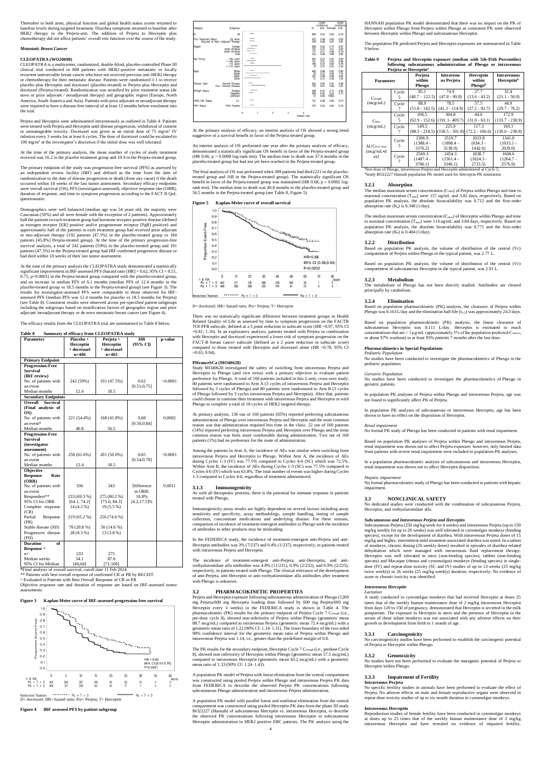Thereafter in both arms, physical function and global health status scores returned to baseline levels during targeted treatment. Diarrhea symptoms returned to baseline after HER2 therapy in the Perjeta-arm. The addition of Perjeta to Herceptin plus chemotherapy did not affect patients' overall role function over the course of the study.

#### *Metastatic Breast Cancer*

#### **CLEOPATRA (WO20698)**

CLEOPATRA is a multicenter, randomized, double-blind, placebo-controlled Phase III clinical trial conducted in 808 patients with HER2-positive metastatic or locally recurrent unresectable breast cancer who have not received previous anti-HER2 therapy or chemotherapy for their metastatic disease. Patients were randomized 1:1 to receive placebo plus Herceptin and docetaxel (placebo-treated) or Perjeta plus Herceptin and docetaxel (Perjeta-treated). Randomization was stratified by prior treatment status (de novo or prior adjuvant / neoadjuvant therapy) and geographic region (Europe, North America, South America and Asia). Patients with prior adjuvant or neoadjuvant therapy were required to have a disease-free interval of at least 12 months before enrolment into the trial.

Perjeta and Herceptin were administered intravenously as outlined in Table 4. Patients were treated with Perjeta and Herceptin until disease progression, withdrawal of consent or unmanageable toxicity. Docetaxel was given as an initial dose of 75 mg/m<sup>2</sup> IV infusion every 3 weeks for at least 6 cycles. The dose of docetaxel could be escalated to 100 mg/m<sup>2</sup> at the investigator's discretion if the initial dose was well tolerated.

At the time of the primary analysis, the mean number of cycles of study treatment received was 16.2 in the placebo treatment group and 19.9 in the Perjeta-treated group.

The primary endpoint of the study was progression-free survival (PFS) as assessed by an independent review facility (IRF) and defined as the time from the date of randomization to the date of disease progression or death (from any cause) if the death occurred within 18 weeks of the last tumor assessment. Secondary efficacy endpoints were overall survival (OS), PFS (investigator-assessed), objective response rate (ORR), duration of response, and time to symptom progression according to the FACT B QoL questionnaire.

Demographics were well balanced (median age was 54 years old, the majority were Caucasian (59%) and all were female with the exception of 2 patients). Approximately half the patients in each treatment group had hormone receptor-positive disease (defined as estrogen receptor [ER] positive and/or progesterone receptor [PgR] positive) and approximately half of the patients in each treatment group had received prior adjuvant or neo-adjuvant therapy (192 patients [47.3%] in the placebo-treated group vs 184 patients [45.8%] Perjeta-treated group). At the time of the primary progression-free survival analysis, a total of 242 patients (59%) in the placebo-treated group and 191 patients (47.5%) in the Perjeta-treated group had IRF-confirmed progressive disease or had died within 18 weeks of their last tumor assessment.

> There was no statistically significant difference between treatment groups in Health Related Quality of Life as assessed by time to symptom progression on the FACTB TOI-PFB subscale, defined as a 5 point reduction in subscale score (HR =0.97, 95% CI =0.81; 1.16). In an exploratory analysis, patients treated with Perjeta in combination with Herceptin and docetaxel experienced a lower risk of symptom progression on the FACT-B breast cancer subscale (defined as a 2 point reduction in subscale score) compared to those treated with Herceptin and docetaxel alone (HR =0.78, 95% CI  $=0.65$ ; 0.94).

At the time of the primary analysis the CLEOPATRA study demonstrated a statistically significant improvement in IRF-assessed PFS (hazard ratio [HR] = 0.62, 95% CI = 0.51, 0.75, p<0.0001) in the Perjeta-treated group compared with the placebo-treated group, and an increase in median PFS of 6.1 months (median PFS of 12.4 months in the placebo-treated group vs 18.5 months in the Perjeta-treated group) (see Figure 3). The results for investigator-assessed PFS were comparable to those observed for IRFassessed PFS (median PFS was 12.4 months for placebo vs 18.5 months for Perjeta) (see Table 8). Consistent results were observed across pre-specified patient subgroups including the subgroups based on stratification factors of geographic region and prior adjuvant /neoadjuvant therapy or de novo metastatic breast cancer (see Figure 4).

The efficacy results from the CLEOPATRA trial are summarized in Table 8 below.

#### **Table 8 Summary of efficacy from CLEOPATRA study**

| <b>Parameter</b>                    | Placebo +<br>Herceptin | Perjeta +<br>Herceptin | <b>HR</b><br>(95% CI) | p-value  |
|-------------------------------------|------------------------|------------------------|-----------------------|----------|
|                                     | + docetaxel            | + docetaxel            |                       |          |
|                                     | $n=406$                | $n=402$                |                       |          |
| <b>Primary Endpoint</b>             |                        |                        |                       |          |
| <b>Progression-Free</b>             |                        |                        |                       |          |
| <b>Survival</b>                     |                        |                        |                       |          |
| (IRF review)                        |                        |                        |                       |          |
| No. of patients with                | 242 (59%)              | 191 (47.5%)            | 0.62                  | < 0.0001 |
| an event                            |                        |                        | [0.51; 0.75]          |          |
| Median months                       | 12.4                   | 18.5                   |                       |          |
| <b>Secondary Endpoints</b>          |                        |                        |                       |          |
| <b>Survival</b><br><b>Overall</b>   |                        |                        |                       |          |
| (Final analysis of                  |                        |                        |                       |          |
| OS)                                 |                        |                        |                       |          |
| No. of patients with                | 221 (54.4%)            | 168 (41.8%)            | 0.68                  | 0.0002   |
| an event*                           |                        |                        | [0.56; 0.84]          |          |
| Median months                       | 40.8                   | 56.5                   |                       |          |
| <b>Progression-Free</b>             |                        |                        |                       |          |
| <b>Survival</b>                     |                        |                        |                       |          |
| (investigator                       |                        |                        |                       |          |
| assessment)<br>No. of patients with | 250 (61.6%)            | 201 (50.0%)            | 0.65                  | < 0.0001 |
| an event                            |                        |                        | [0.54; 0.78]          |          |
| Median months                       | 12.4                   | 18.5                   |                       |          |
| Objective                           |                        |                        |                       |          |
| <b>Response</b><br>Rate             |                        |                        |                       |          |
| (ORR)                               |                        |                        |                       |          |
| No. of patients with                | 336                    | 343                    | Difference            | 0.0011   |
| an event                            |                        |                        | in ORR:               |          |
| Responders**                        | 233 (69.3 %)           | 275 (80.2 %)           | 10.8%                 |          |
| 95% CI for ORR                      | [64.1; 74.2]           | [75.6; 84.3]           | $[4.2, 17.5]$ %       |          |
| Complete response                   | $14(4.2\%)$            | $19(5.5\%)$            |                       |          |
| (CR)                                |                        |                        |                       |          |
| Partial<br>Response                 | 219 (65.2 %)           | 256 (74.6 %)           |                       |          |
| (PR)                                |                        |                        |                       |          |
| Stable disease (SD)                 | 70(20.8%)              | 50 (14.6 %)            |                       |          |
| Progressive disease                 | 28 (8.3 %)             | 13 (3.8 %)             |                       |          |
| (PD)                                |                        |                        |                       |          |
| of<br><b>Duration</b>               |                        |                        |                       |          |
| Response ^                          |                        |                        |                       |          |
| $n =$                               | 233                    | 275                    |                       |          |
| Median weeks                        | 54.1                   | 87.6                   |                       |          |

| Category<br>Subgroup                                                            |                                         |                     |   |   |   |                   | N                                    | Lower<br>confidence<br>limit     | Estimate                     | Upper<br>confidence<br>limit |
|---------------------------------------------------------------------------------|-----------------------------------------|---------------------|---|---|---|-------------------|--------------------------------------|----------------------------------|------------------------------|------------------------------|
| All                                                                             | All                                     | ــ                  |   |   |   |                   | 808                                  | 0.52                             | 0.63                         | 0.76                         |
| Prior<br><b>Treatment Status</b><br>De Novo<br>Adjuvant or Neo-Adjuvant Therapy |                                         |                     |   |   |   |                   | 432<br>376                           | 0.49<br>0.46                     | 0.63<br>0.61                 | 0.82<br>0.81                 |
| Region<br>Europe<br>North America<br>South America                              | Asia                                    |                     |   |   |   |                   | 306<br>135<br>114<br>253             | 0.53<br>0.31<br>0.27<br>0.48     | 0.72<br>0.51<br>0.46<br>0.68 | 0.97<br>0.84<br>0.78<br>0.95 |
| Age Group<br>$< 65$ years<br>> 65<br>< 75<br>$>$ = 75 years                     | years<br>years                          | <b>Installation</b> |   |   |   |                   | 681<br>127<br>789<br>19              | 0.53<br>0.31<br>$0.53$<br>$0.12$ | 0.65<br>0.52<br>0.64<br>0.55 | 0.80<br>0.86<br>0.78<br>2.54 |
| Race                                                                            | White<br><b>Black</b><br>Asian<br>Other | ---                 |   |   |   |                   | $\frac{480}{30}$<br>$\frac{261}{37}$ | 0.49<br>0.23<br>0.49<br>0.13     | 0.62<br>0.64<br>0.68<br>0.39 | 0.80<br>1.79<br>0.95<br>1.18 |
| Disease Type<br>Visceral Disease<br>Non-Visceral Disease                        |                                         |                     |   |   |   |                   | 630<br>178                           | 0.45<br>0.61                     | 0.55<br>0.96                 | $0.68$<br>$1.52$             |
| <b>ER/PgR Status</b><br>Positive<br>Negative<br>Unknown                         |                                         | -                   |   |   |   |                   | 388<br>408<br>12                     | 0.55<br>0.42<br>0.00             | 0.72<br>0.55<br>179E6        | 0.95<br>0.72<br>$\cdot$      |
| <b>HER2 IHC Status</b>                                                          | $3+$                                    |                     |   |   |   |                   | 721                                  | 0.49                             | 0.60                         | 0.74                         |
| <b>FISH Status</b><br><b>FISH Positive</b>                                      |                                         | <b>Installed</b>    |   |   |   |                   | 767                                  | 0.53                             | 0.64                         | 0.78                         |
|                                                                                 |                                         | 0                   | 1 | 2 | 3 | 4<br>Hazard ratio |                                      |                                  |                              |                              |

95% CI for Median [46;64] [71;106]

**\***Final analysis of overall survival, cutoff date 11 Feb 2014

\*\* Patients with best overall response of confirmed CR or PR by RECIST.

^ Evaluated in Patients with Best Overall Response of CR or PR Objective response rate and duration of response are based on IRF-assessed tumor assessments

> The PK results for the secondary endpoint, Herceptin Cycle 7 Ctrough (i.e., predose Cycle 8), showed non-inferiority of Herceptin within Phesgo (geometric mean 57.5 mcg/mL) compared to intravenous Herceptin (geometric mean 43.2 mcg/mL) with a geometric mean ratio of 1.33 (90% CI: 1.24–1.43).

**Figure 3 Kaplan-Meier curve of IRF-assessed progression-free survival**



#### **Figure 4 IRF assessed PFS by patient subgroup**

A population PK model with parallel linear and nonlinear elimination from the central compartment was constructed using pooled Herceptin PK data from the phase III study BO22227 (Hannah) of subcutaneous Herceptin vs. intravenous Herceptin, to describe the observed PK concentrations following intravenous Herceptin or subcutaneous Herceptin administration in HER2 positive EBC patients. The PK analysis using the

At the primary analysis of efficacy, an interim analysis of OS showed a strong trend suggestive of a survival benefit in favor of the Perjeta-treated group.

An interim analysis of OS performed one year after the primary analysis of efficacy, demonstrated a statistically significant OS benefit in favor of the Perjeta-treated group (HR 0.66, p = 0.0008 log-rank test). The median time to death was 37.6 months in the placebo-treated group but had not yet been reached in the Perjeta-treated group.

The final analysis of OS was performed when 389 patients had died (221 in the placebotreated group and 168 in the Perjeta-treated group). The statistically significant OS benefit in favor of the Perieta-treated group was maintained (HR 0.68,  $p = 0.0002 \log \frac{1}{2}$ rank test). The median time to death was 40.8 months in the placebo-treated group and 56.5 months in the Perjeta-treated group (see Table 8, Figure 5).

#### **Figure 5 Kaplan-Meier curve of overall survival**



D= docetaxel; HR= hazard ratio; Ptz= Perjeta; T= Herceptin

Based on population pharmacokinetic (PK) analysis, the clearance of Perjeta within Phesgo was  $0.163$  L/day and the elimination half-life ( $t_{1/2}$ ) was approximately 24.3 days.

Based on population pharmacokinetic (PK) analysis, the linear clearance of subcutaneous Herceptin was 0.111 L/day. Herceptin is estimated to reach concentrations that are  $\leq 1 \mu g/mL$  (approximately 3% of the population predicted C<sub>min,ss</sub>, or about 97% washout) in at least 95% patients 7 months after the last dose.

#### **PHranceSCa (MO40628)**

Study MO40628 investigated the safety of switching from intravenous Perjeta and Herceptin to Phesgo (and vice versa) with a primary objective to evaluate patient preference for Phesgo. A total of 160 patients included in this 2-arm, cross-over study: 80 patients were randomized to Arm A (3 cycles of intravenous Perjeta and Herceptin followed by 3 cycles of Phesgo) and 80 patients were randomized to Arm B (3 cycles of Phesgo followed by 3 cycles intravenous Perjeta and Herceptin). After that, patients could choose to continue their treatment with intravenous Perjeta and Herceptin or with Phesgo to complete a total of 18 cycles of HER2 targeted therapy.

> In a population pharmacokinetic analysis of subcutaneous and intravenous Hercentin. renal impairment was shown not to affect Herceptin disposition.

At primary analysis, 136 out of 160 patients (85%) reported preferring subcutaneous administration of Phesgo over intravenous Perjeta and Herceptin and the most common reason was that administration required less time in the clinic. 22 out of 160 patients (14%) reported preferring intravenous Perjeta and Herceptin over Phesgo and the most common reason was feels more comfortable during administration. Two out of 160 patients (1%) had no preference for the route of administration.

Among the patients in Arm A, the incidence of AEs was similar when switching from intravenous Perjeta and Herceptin to Phesgo. Within Arm A, the incidence of AEs during Cycles 1-3 (IV) was 77.5% compared to Cycles 4-6 (SC) which was 72.5%. Within Arm B, the incidence of AEs during Cycles 1-3 (SC) was 77.5% compared to Cycles 4-6 (IV) which was 63.8%. The total number of events was higher during Cycles 1-3 compared to Cycles 4-6, regardless of treatment administered.

#### **3.1.3 Immunogenicity**

As with all therapeutic proteins, there is the potential for immune response in patients treated with Phesgo.

Immunogenicity assay results are highly dependent on several factors including assay sensitivity and specificity, assay methodology, sample handling, timing of sample collection, concomitant medications and underlying disease. For these reasons, comparison of incidence of treatment-emergent antibodies to Phesgo with the incidence of antibodies to other products may be misleading.

In the FEDERICA study, the incidence of treatment-emergent anti-Perjeta and anti-Herceptin antibodies was 3% (7/237) and 0.4% (1/237), respectively, in patients treated with intravenous Perjeta and Herceptin.

The incidence of treatment-emergent anti-Perjeta, anti-Herceptin, and antivorhyaluronidase alfa antibodies was 4.8% (11/231), 0.9% (2/232), and 0.9% (2/225), respectively, in patients treated with Phesgo. The clinical relevance of the development of anti-Perjeta, anti-Herceptin or anti-vorhyaluronidase alfa antibodies after treatment

with Phesgo is unknown.

#### **3.2 PHARMACOKINETIC PROPERTIES**

Perjeta and Herceptin exposure following subcutaneous administration of Phesgo (1200 mg Perjeta/600 mg Herceptin loading dose followed by 600 mg Perjeta/600 mg Herceptin every 3 weeks) in the FEDERICA study is shown in Table 4. The pharmacokinetic (PK) results for the primary endpoint of Perjeta Cycle 7 Ctrough (i.e., pre-dose cycle 8), showed non-inferiority of Perjeta within Phesgo (geometric mean 88.7 mcg/mL) compared to intravenous Perjeta (geometric mean 72.4 mcg/mL) with a geometric mean ratio of 1.22 (90% CI: 1.14–1.31). The lower boundary of the two-sided 90% confidence interval for the geometric mean ratio of Perjeta within Phesgo and intravenous Perjeta was 1.14, i.e., greater than the predefined margin of 0.8.

A population PK model of Perjeta with linear elimination from the central compartment was constructed using pooled Perjeta within Phesgo and intravenous Perjeta PK data from FEDERICA to describe the observed Perjeta PK concentrations following subcutaneous Phesgo administration and intravenous Perjeta administration.

HANNAH population PK model demonstrated that there was no impact on the PK of Herceptin within Phesgo from Perjeta within Phesgo as consistent PK were observed between Herceptin within Phesgo and subcutaneous Herceptin.

The population PK predicted Perjeta and Herceptin exposures are summarized in Table 9 below.

**Table 9 Perjeta and Herceptin exposure (median with 5th-95th Percentiles) following subcutaneous administration of Phesgo or intravenous Perjeta or Herceptin<sup>a</sup>**

| т егјета от тнегсериш                                     |            |                                  |                                             |                                       |                                                     |
|-----------------------------------------------------------|------------|----------------------------------|---------------------------------------------|---------------------------------------|-----------------------------------------------------|
| Parameter                                                 |            | Perjeta<br>within<br>Phesgo      | Intraveno<br>us Perjeta                     | <b>Herceptin</b><br>within<br>Phesgob | <b>Intravenous</b><br><b>Herceptin</b> <sup>b</sup> |
| $C_{trough}$<br>(mcg/mL)                                  | Cycle<br>5 | 85.1<br>$(48.7 - 122.5)$         | 74.9<br>$(47.8 - 99.8)$                     | 27.7<br>$(13.6 - 43.2)$               | 31.4<br>$(21.1 - 50.9)$                             |
|                                                           | Cycle<br>7 | 88.9<br>$(51.8 - 142.5)$         | 78.5<br>$(41.3 - 114.9)$                    | 57.5<br>$(27.2 - 92.7)$               | 44.9<br>$(29.7 - 76.2)$                             |
| $C_{\text{max}}$<br>(mcg/mL)                              | Cycle<br>5 | 106.5<br>$(62.9 - 152.6)$        | 304.8<br>$(191.1 - 409.7)$                  | 44.6<br>$(31.0 - 63.1)$               | 172.9<br>$(133.7 - 238.9)$                          |
|                                                           | Cycle      | 149.5                            | 225.9<br>$(88.5 - 218.5)$ $(158.5 - 301.8)$ | 117.3<br>$(72.2 - 166.6)$             | 169.1<br>$(130.6 - 238.9)$                          |
| $AUC_{0-21\;{\rm days}}$<br>(mcg/mL <sup>•</sup> d<br>ay) | Cycle<br>5 | 2306.9<br>$(1388.4 -$<br>3376.2) | 2519.7<br>$(1898.4 -$<br>3138.9)            | 1023.8<br>$(634.3 -$<br>1442.6)       | 1341.0<br>$(1033.1 -$<br>2029.0                     |
|                                                           | Cycle      | 2569.3<br>$(1487.4 -$<br>3786.1) | 2454.3<br>$(1561.4 -$<br>3346.1)            | 1838.7<br>$(1024.3 -$<br>2715.5       | 1668.6<br>$(1264.7 -$<br>2576.9)                    |

<sup>a</sup>first dose of Phesgo, intravenous Perjeta and Herceptin administered at Cycle 5; bestudy BO22227 Hannah population PK model used for Herceptin PK simulation

#### **3.2.1 Absorption**

The median maximum serum concentration  $(C_{\text{max}})$  of Perjeta within Phesgo and time to maximal concentration ( $T_{\text{max}}$ ) were 157 ug/mL and 3.82 days, respectively. Based on population PK analysis, the absolute bioavailability was 0.712 and the first-order absorption rate  $(K_a)$  is 0.348 (1/day).

The median maximum serum concentration  $(C_{\text{max}})$  of Herceptin within Phesgo and time to maximal concentration (T<sub>max</sub>) were 114 ug/mL and 3.84 days, respectively. Based on population PK analysis, the absolute bioavailability was 0.771 and the first-order absorption rate  $(K_a)$  is 0.404 (1/day).

#### **3.2.2 Distribution**

Based on population PK analysis, the volume of distribution of the central (Vc) compartment of Perjeta within Phesgo in the typical patient, was 2.77 L.

Based on population PK analysis, the volume of distribution of the central (Vc) compartment of subcutaneous Herceptin in the typical patient, was 2.91 L.

#### **3.2.3 Metabolism**

The metabolism of Phesgo has not been directly studied. Antibodies are cleared principally by catabolism.

#### **3.2.4 Elimination**

#### **Pharmacokinetics in Special Populations**  *Pediatric Population*

No studies have been conducted to investigate the pharmacokinetics of Phesgo in the pediatric population.

#### *Geriatric Population*

No studies have been conducted to investigate the pharmacokinetics of Phesgo in geriatric patients.

In population PK analyses of Perjeta within Phesgo and intravenous Perjeta, age was not found to significantly affect PK of Perjeta.

In population PK analyses of subcutaneous or intravenous Herceptin, age has been shown to have no effect on the disposition of Herceptin.

#### *Renal impairment*

No formal PK study of Phesgo has been conducted in patients with renal impairment.

Based on population PK analyses of Perjeta within Phesgo and intravenous Perjeta, renal impairment was shown not to affect Perjeta exposure; however, only limited data from patients with severe renal impairment were included in population PK analyses.

#### *Hepatic impairment*

No formal pharmacokinetic study of Phesgo has been conducted in patients with hepatic impairment.

#### **3.3 NONCLINICAL SAFETY**

No dedicated studies were conducted with the combination of subcutaneous Perjeta, Herceptin, and vorhyaluronidase alfa.

#### *Subcutaneous and Intravenous Perjeta and Herceptin*

Subcutaneous Perjeta (250 mg/kg/week for 4 weeks) and intravenous Perjeta (up to 150 mg/kg weekly for up to 26 weeks) was well tolerated in cynomolgus monkeys (binding species), except for the development of diarrhea. With intravenous Perjeta doses of 15 mg/kg and higher, intermittent mild treatment-associated diarrhea was noted. In a subset of monkeys, chronic dosing (26 weekly doses) resulted in episodes of diarrhea-related dehydration which were managed with intravenous fluid replacement therapy. Herceptin was well tolerated in mice (non-binding species), rabbits (non-binding species) and Macaque (rhesus and cynomolgus) monkeys (binding species) in singledose (IV) and repeat-dose toxicity (SC and IV) studies of up to 13 weeks (25 mg/kg twice weekly) or 26 weeks (25 mg/kg weekly) duration, respectively. No evidence of acute or chronic toxicity was identified.

#### *Intravenous Herceptin Lactation*

A study conducted in cynomolgus monkeys that had received Herceptin at doses 25 times that of the weekly human maintenance dose of 2 mg/kg intravenous Herceptin from days 120 to 150 of pregnancy, demonstrated that Herceptin is secreted in the milk postpartum. The exposure to Herceptin in utero and the presence of Herceptin in the serum of these infant monkeys was not associated with any adverse effects on their growth or development from birth to 1 month of age.

#### **3.3.1 Carcinogenicity**

No carcinogenicity studies have been performed to establish the carcinogenic potential of Perjeta or Herceptin within Phesgo.

#### **3.3.2 Genotoxicity**

No studies have not been performed to evaluate the mutagenic potential of Perjeta or Herceptin within Phesgo.

#### **3.3.3 Impairment of Fertility Intravenous Perjeta**

No specific fertility studies in animals have been performed to evaluate the effect of Perjeta. No adverse effects on male and female reproductive organs were observed in repeat-dose toxicity studies of up to six month duration in cynomolgus monkeys.

#### **Intravenous Herceptin**

Reproduction studies of female fertility have been conducted in cynomolgus monkeys at doses up to 25 times that of the weekly human maintenance dose of 2 mg/kg intravenous Herceptin and have revealed no evidence of impaired fertility.